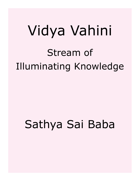# Vidya Vahini Stream of Illuminating Knowledge

## Sathya Sai Baba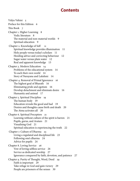## **Contents**

[Vidya Vahini 5](#page-4-0) [Preface for this Edition 6](#page-5-0) [This Book 7](#page-6-0) [Chapter 1. Higher Learning 8](#page-7-0) [Vedic literature 8](#page-7-0) [The material and non-material worlds 9](#page-8-0) [Spiritual education 9](#page-8-0) Chapter 2. Knowledge of Self 11 [Spiritual knowledge provides illumination 11](#page-10-0) [Holy people versus today's scholars 11](#page-10-0) [Heeding advice and correcting behaviour 12](#page-11-0) [Sugar water versus plain water 12](#page-11-0) [Real and apparent knowledge 13](#page-12-0) [Chapter 3. Modern Education 14](#page-13-0) [Problems of the educational system 14](#page-13-0) [To each their own world 14](#page-13-0) [Story of Narayana and Lakshmi 14](#page-13-0)  [Chapter 4. Removal of Primal Ignorance 16](#page-15-0) [The highest goal of Bharath 16](#page-15-0) [Eliminating pride and egotism 16](#page-15-0) [Develop detachment and eliminate desire 16](#page-15-0) [Humanity and animal 17](#page-16-0) [Chapter 5. Spiritual Discipline 19](#page-18-0) [The human body 19](#page-18-0) [Education reveals the good and bad 19](#page-18-0) [Desires and thoughts cause birth and death 20](#page-19-0) [The Atma activates all 20](#page-19-0) [Chapter 6. Spiritual Preceptors 21](#page-20-0) [Learning without culture of the spirit is barren 21](#page-20-0) [Pupils, gurus, and Avatars 21](#page-20-0) [Visualising God 21](#page-20-0) [Spiritual education is experiencing the truth 22](#page-21-0)  [Chapter 7. Culture of Dharma 23](#page-22-0) [Living a regulated and disciplined life 23](#page-22-0) [Following one's dharma 24](#page-23-0) [Advice for pupils 24](#page-23-0) [Chapter 8. Loving Service 26](#page-25-0) [Vow of loving selfless service 26](#page-25-0) [Service as dedicated worship 27](#page-26-0) [Ignorance conquered by faith, devotion, and patience 27](#page-26-0) [Chapter 9. Purity of Thought, Word, Deed 29](#page-28-0) [Faith is important 29](#page-28-0) [Take refuge in God and gain victory 29](#page-28-0) [People are prisoners of the senses 30](#page-29-0)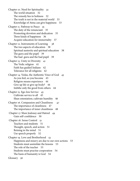[Chapter 10. Need for Spirituality 32](#page-31-0) [The world situation 32](#page-31-0) [The remedy lies in holiness 32](#page-31-0) [The truth is not in the material world 33](#page-32-0) [Knowledge of Atma can give happiness 33](#page-32-0) [Chapter 11. Pathway to Peace 35](#page-34-0) [The duty of the renunciant 35](#page-34-0) [Promoting devotion and dedication 35](#page-34-0) [Three kinds of happiness 36](#page-35-0) [Acquire education for immortality 37](#page-36-0) [Chapter 12. Instruments of Learning 38](#page-37-0) [The two aspects of education 38](#page-37-0) [Spiritual austerity and spiritual education 38](#page-37-0) [The guru and the pupil 39](#page-38-0) [The bad guru and the bad pupil 39](#page-38-0) [Chapter 13. Unity in Diversity 41](#page-40-0) [The Vedic religion 41](#page-40-0) [Faith has guided Indians 42](#page-41-0) [Tolerance for all religions 42](#page-41-0) [Chapter 14. Vedas, the Authentic Voice of God 43](#page-42-0) [As you feel, so you become 43](#page-42-0) [Religion means experience 44](#page-43-0) [Give up life or give up body? 44](#page-43-0) [Imbibe only the good from others 44](#page-43-0) [Chapter 15. Ego-less Service 45](#page-44-0) [Cultivate service to all 45](#page-44-0) [Shun ostentation; cultivate humility 46](#page-45-0) [Chapter 16. Compassion and Cleanliness 47](#page-46-0) [The importance of cleanliness 47](#page-46-0) [The importance of inner cleanliness 48](#page-47-0)  [Chapter 17. Shun Jealousy and Hatred 49](#page-48-0) [Gain self-confidence 50](#page-49-0) Chapter 18. Sense Control 51 [Teachers and students 51](#page-50-0) [Thought, speech, and action 51](#page-50-0) [Reining in the mind 51](#page-50-0) [Use speech properly 52](#page-51-0) [Chapter 19. Love and Brotherhood 53](#page-52-0) [Happiness and misery are due to our own actions 53](#page-52-0) [Students must assimilate the lessons 53](#page-52-0) [The role of the teacher 53](#page-52-0) [Students must practise cooperation 54](#page-53-0) [The basis of humanity is God 54](#page-53-0) [Glossary 56](#page-55-0)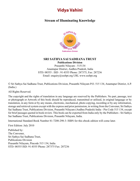## <span id="page-4-1"></span>**Vidya Vahini**

### <span id="page-4-0"></span>**Stream of Illuminating Knowledge**



#### **SRI SATHYA SAI SADHANA TRUST Publications Division**

Prasanthi Nilayam - 515134 Anantapur District, Andhra Pradesh, India STD: 08555 : ISD : 91-8555 Phone: 287375, Fax: 287236 Email: enquiry@sssbpt.org URL www.sssbpt.org

© Sri Sathya Sai Sadhana Trust, Publications Division, Prasanthi Nilayam P.O. 515 134, Anantapur District, A.P. (India.)

All Rights Reserved.

The copyright and the rights of translation in any language are reserved by the Publishers. No part, passage, text or photograph or Artwork of this book should be reproduced, transmitted or utilised, in original language or by translation, in any form or by any means, electronic, mechanical, photo copying, recording or by any information, storage and retrieval system except with the express and prior permission, in writing from the Convener, Sri Sathya Sai Sadhana Trust, Publications Division, Prasanthi Nilayam (Andhra Pradesh) India - Pin Code 515 134, except for brief passages quoted in book review. This book can be exported from India only by the Publishers - Sri Sathya Sai Sadhana Trust, Publications Division, Prasanthi Nilayam, India.

International Standard Book Number 81-7208-298-3: ISBN for this ebook edition will come later.

First Edition: July 2010

Published by: The Convener, Sri Sathya Sai Sadhana Trust, Publications Division Prasanthi Nilayam, Pincode 515 134, India STD: 08555 ISD: 91-8555 Phone: 287375 Fax: 287236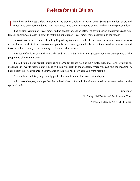## **Preface for this Edition**

<span id="page-5-0"></span>The edition of the *Vidya Vahini* improves on the previous edition in several ways. Some grammatical errors and typos have been corrected, and many sentences have been rewritten to smooth and clarify the presentation.

The original version of *Vidya Vahini* had no chapter or section titles. We have inserted chapter titles and subtitles in appropriate places in order to make the contents of *Vidya Vahini* more accessible to the reader.

Sanskrit words have been replaced by English equivalents, to make the text more accessible to readers who do not know Sanskrit. Some Sanskrit compounds have been hyphenated between their constituent words to aid those who like to analyze the meanings of the individual words.

Besides definitions of Sanskrit words used in the *Vidya Vahini*, the glossary contains descriptions of the people and places mentioned.

This edition is being brought out in ebook form, for tablets such as the Kindle, Ipad, and Nook. Clicking on most Sanskrit words, people, and places will take you right to the glossary, where you can find the meaning. A back-button will be available in your reader to take you back to where you were reading.

And on these tablets, you generally get to choose a font and font size that suits you.

With these changes, we hope that the revised *Vidya Vahini* will be of great benefit to earnest seekers in the spiritual realm.

Convener

Sri Sathya Sai Books and Publications Trust Prasanthi Nilayam Pin 515134, India.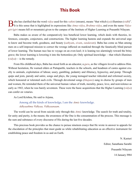## **This Book**

<span id="page-6-0"></span>B aba has clarified that the word *vidya* used for this *vahini* (stream), means "that which  $(ya)$  illumines  $(vidh)$ ".<br>It is this sense that is highlighted in expressions like [Atma-vidya](#page-55-1), [Brahma-vidya](#page-56-0), and even the name Vi *giri* (*giri* means hill or mountain) given to the campus of the Institute of Higher Learning at Prasanthi Nilayam.

Baba makes us aware of the comparatively less beneficial lower learning, which deals with theories, inferences, concepts, conjectures, and constructions. The higher learning hastens and expands the universal urge to know and become truth, goodness, and beauty (*[sathyam](#page-62-0)*, *sivam*, *sundaram*). Baba has come as Man among men on a self-imposed mission to correct the wrongs inflicted on mankind through the fanatically blind pursuit of lower learning. The human race has to voyage on an even keel; it is leaning too alarmingly toward the briny grave; the lower learning is lowering it into the bottomless pit. Only spiritual knowledge —that which illumines (*vidya*)— is the remedy.

From His childhood days, Baba has stood forth as an educator, a *[guru](#page-57-0)*, as the villagers loved to address Him. Without hesitation, He warned elders at Puttaparthi, teachers in the schools, and headmen of castes against cruelty to animals, exploitation of labour, usury, gambling, pedantry and illiteracy, hypocrisy, and pomp. Through quips and jests, parody and satire, songs and plays, the young teenaged teacher ridiculed and reformed society, which honoured or tolerated such evils. Through devotional songs (*[bhajans](#page-56-1)*) sung in chorus by groups of men and women, He reminded them of the universal human values of truth, morality, peace, love, and nonviolence as early as 1943, when he was barely seventeen. These were the basic acquisitions that the Higher Learning (*vidya*) can confer on votaries.

As Lord [Krishna,](#page-58-0) He said to [Arjuna,](#page-55-2)

Among all the kinds of knowledge, I am the *[Atmic](#page-56-2)* knowledge. *Adhyaathma Vidhyaa, Vidhyaanaam*.

The world can be saved from suicide only through this *[Atmic](#page-56-2)* knowledge. The search for truth and totality, for unity and purity, is the means; the awareness of the One is the consummation of the process. This message is the sum and substance of every discourse of His during the last five decades.

This precious book provides us the chance to peruse nineteen essays that He wrote in answer to appeals for the elucidation of the principles that must guide us while rehabilitating education as an effective instrument for establishing peace and freedom in us and on Earth.

> N. Kasturi Editor, Sanathana Sarathi Prasanthi Nilayam 14 January l984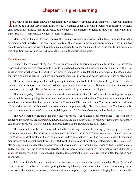## **Chapter 1. Higher Learning**

<span id="page-7-0"></span>That which has no origin knows no beginning. It was before everything or anything was. There was nothing prior to It. For that very reason, It has no end. It expands as far as It wills, progresses as diverse as It feels, and, through Its fullness, fills the universe. Knowledge of this supreme principle is known as "that which illumines (*vidya*)" —spiritual knowledge, wisdom, awareness.

Many seers with manifold experiences of this unique awareness have visualised in their illumined hearts the sovereign secret underlying the captivating beauty of the cosmos. Compassion toward humanity has prompted them to communicate the vision through human language to arouse the innate thirst in the soul for immersion in that bliss. Spiritual learning (*vidya*) causes this urge in the hearts of the seers.

#### **Vedic literature**

Sound is the very core of the *[Veda](#page-64-0)*. Sound is associated with harmony and melody, so the *[Veda](#page-64-0)* has to be heard and ecstasy derived therefrom. It is not to be analysed, commented upon, and judged. This is why the *[Veda](#page-64-0)* is called "that which is heard (*sruthi*)". Only through listening to its recital can the awareness of the *[Atma](#page-55-3)* and of the bliss it confers be earned. The bliss thus acquired manifests in words and deeds that confer bliss on all around.

The term *[Vedanta](#page-64-1)* is generally used by many to indicate a school of philosophical thought. But *[Vedanta](#page-64-1)* is only a special section of *[Vedic](#page-64-2)* literature. All the *[Upanishadic](#page-63-0)* texts form part of *[Vedanta](#page-64-1)*. *[Vedanta](#page-64-1)* is the consummation of *[Vedic](#page-64-2)* thought. The *[Vedas](#page-64-3)* themselves are invaluable guides toward the Highest.

The hymns (*[riks](#page-61-0)*) of the *[Rig-veda](#page-61-1)* are ecstatic effusions from the spirit of humanity extolling the delight derived while contemplating the orderliness and beauty of nature outside them. The *[Sama-veda](#page-61-2)* is the precious verbal treasure that enables humanity to praise the Creator and His creation in song. The mystery of this world and of the worlds beyond is elaborated in the texts that are comprehensively called *[Atharvana-veda](#page-55-4)*. The formulae for rites and ceremonials —beneficial or merit-yielding or sacrificial— have been collated as the *[Yajur-veda](#page-64-4)*.

The *[Vedic](#page-64-2)* literature grouped into these four collections —each under a different name— has four more branches: the *[Mantras](#page-59-0)*, the *[Brahmanas](#page-56-3)*, the *[Aranyakas](#page-55-5)*, and the *[Upanishads](#page-63-1)*. The *[mantra](#page-59-1)* texts (*[mantra-sastra](#page-59-0)*) are also called collections (*[samhithas](#page-62-1)*), and all sacred formulae are grouped together in them.

The texts that describe the means and methods of utilising them and benefiting by their proper recital are known as *[Brahmanas](#page-56-3)*. The word *Brahma* has many meanings. In the expression *[Brahmanas](#page-56-3)*, it means *[mantra](#page-59-1)*. The *[Brahmanas](#page-56-3)* deal mostly with ceremonials and kindred external activities. The *[Aranyakas](#page-55-5)* deal with the inner significances and internal disciplines, like withdrawal of senses and elimination of attachments. The *[Upanishads](#page-63-1)* attempt, by philosophical analysis, to harmonise the two paths. They form the final phase of *[Vedic](#page-64-2)* studies and are called *[Vedanta](#page-64-1)*. They can even be considered to be the essence of *[Vedic](#page-64-2)* teachings. They are the cream of the entire *[Vedic](#page-64-2)* scriptures. When the *[Vedas](#page-64-3)* are assimilated by scholarship, the *[Upanishads](#page-63-1)* emerge as butter does when milk is churned.

All forms of *[Vedic](#page-64-2)* literature mentioned thus far form the most ancient body of knowledge, *Vidya [Upanishad](#page-63-1)*  —the word is formed by the root *shad* getting the two syllables *upa* and *ni* as prefixes. *Shad* means sitting, but it has also another meaning: destroying. *Ni* means steady, disciplined. *Upa* means near. The pupil has to sit near the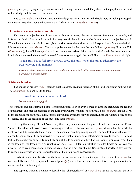<span id="page-8-0"></span>*[guru](#page-57-0)* or preceptor, paying steady attention to what is being communicated. Only then can the pupil learn the fund of knowledge and the skill of discrimination.

The *[Upanishads](#page-63-1)*, the *[Brahma Sutra](#page-56-4)*, and the *[Bhagavad Gita](#page-56-5)* —these are the basic roots of Indian philosophical thought. Together, they are known as the *Authentic Triad* (*[Prasthana Thraya](#page-60-0)*).

#### **The material and non-material worlds**

This material objective world becomes visible to our eyes, pleases our senses, fascinates our minds, and informs our brain. But in and through this very world, there is one reachable non-material subjective world. When the non-material world is known, both worlds reveal themselves as partial expressions of the same indivisible consciousness (*[chaithanya](#page-56-6)*). The two supplement each other into the one Fullness (*[purnam](#page-61-3)*). From the Full (*[Parabrahma](#page-60-1)*), the individual (*[jiva](#page-58-1)*) that is its complement arises. When the individual sheds the material corpus in which it is encased, the eternal Universal Consciousness is again the one Fullness, the *[Parabrahma](#page-60-1)* principle.

That is full; this is full; from the Full arose the Full; when the Full is taken from the Full, only the Full remains.

*Purnam adah; purnam idam; puurnaath purnam udachyathe; purnasya purnam aadaaya purnam eva avasishyathe.*

#### **Spiritual education**

The education process (*vidya*) teaches that the cosmos is a manifestation of the Lord's sport and nothing else. The *[Upanishads](#page-63-1)* declare this truth thus:

This world is the residence of the Lord:

#### I*saavaasyam idam jagath*.

Therefore, no one can entertain a sense of personal possession or even a trace of egotism. Renounce the feeling of attachment and feel the presence of the Lord everywhere. Welcome the spiritual bliss (*[ananda](#page-55-6)*) that the Lord, as the embodiment of spiritual bliss, confers on you and experience it with thankfulness and without being bound by desire. This is the message of the sages and seers (*[rishis](#page-61-4)*).

Give up the feelings "I" and "you"; only then can you understand the glory of that which is neither "I" nor "mine". This does not involve your renouncing everything. The real teaching (*vidya*) directs that the world be dealt with as duty demands, but in a spirit of detachment, avoiding entanglement. The acid test by which an activity can be confirmed as holy or sacred is to examine whether it promotes attachment or avoids bondage. The acid test to decide whether an activity is unholy or sinful is to examine whether it arises from or promotes greed. This is the teaching, the lesson from spiritual knowledge (*vidya*). Intent on fulfilling your legitimate duties, you can pray to God to keep you alive for a hundred years. You will not incur blame. So, spiritual knowledge advises you to engage in activities with full understanding of their nature and consequence.

Beasts kill only other beasts. But the blind person —one who has not acquired the vision of the *[Atma](#page-55-3)* that one is— kills oneself. And, spiritual knowledge (*vidya*) warns that one who commits this crime goes into fearful realms sunk in thickest night.

The supreme wisdom attempts to describe the "characteristics" of *[Atma](#page-55-3)*. *[Atma](#page-55-3)* has no movement, but It is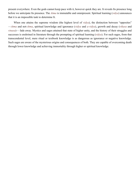present everywhere. Even the gods cannot keep pace with it, however quick they are. It reveals Its presence long before we anticipate Its presence. The *[Atma](#page-55-3)* is immutable and omnipresent. Spiritual learning (*vidya*) announces that it is an impossible task to determine It.

When one attains the supreme wisdom (the highest level of *vidya*), the distinction between "opposites" —*[Atma](#page-55-3)* and not-*[Atma](#page-55-3)*, spiritual knowledge and ignorance (*vidya* and *[a-vidya](#page-56-7)*), growth and decay (*vikasa* and *vinasa*)— fade away. Mystics and sages attained that state of higher unity, and the history of their struggles and successes is enshrined in literature through the prompting of spiritual learning (*vidya*). For such sages, from that transcendental level, mere ritual or textbook knowledge is as dangerous as ignorance or negative knowledge. Such sages are aware of the mysterious origins and consequences of both. They are capable of overcoming death through lower knowledge and achieving immortality through higher or spiritual knowledge.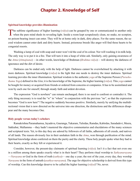## **Chapter 2. Knowledge of Self**

#### <span id="page-10-0"></span>**Spiritual knowledge provides illumination**

The sublime significance of higher learning (*vidya*) can be grasped by one or communicated to another only when the pure mind sheds its revealing light. Inside a room kept scrupulously clean, no snake, no scorpion, no poison-bearing insect can enter. They will be at home only in dark, dirty places. For the same reason, the sacred wisdom cannot enter dark and dirty hearts. Instead, poisonous breeds like anger will find those hearts to be congenial resorts.

Washing a lump of coal with soap and water won't rid the coal of its colour. Nor will washing it in milk help. The only way is to put it in a fire. That will turn it into a heap of white ash. Similarly, only gaining awareness of the *[Atma](#page-55-3)* (*[Atmajnana](#page-55-7)*) —in other words, knowledge of [Brahman](#page-56-8) (*[Brahma-vidya](#page-56-0)*)— will destroy the darkness of ignorance and the dirt of desire.

Darkness can be ended only with the help of light. Darkness cannot be overwhelmed by attacking it with more darkness. Spiritual knowledge (*vidya*) is the light that one needs to destroy the inner darkness. Spiritual learning provides the inner illumination. Spiritual wisdom is the authentic *yoga* of the Supreme Person (*[Purusho](#page-61-5)[thama](#page-61-5) Yoga*) defined in the *[Gita](#page-57-1)*; it is the knowledge of the Supreme, the higher learning (*vidya*). This *yoga* cannot be bought for money or acquired from friends or ordered from concerns or companies. It has to be assimilated and won by each one for oneself, through steady faith and ardent devotion.

The expression "God is nowhere" can remain unchanged; there is no need to confront or contradict it. The only thing necessary is to read the "w" in "where" in conjunction with the previous "no", so that the expression becomes "God is now here"! The negative suddenly becomes positive. Similarly, merely by unifying the multidirectional vision that is now directed on the universe into one direction, the distinctions and the differences disappear and the many becomes One.

#### **Holy people versus today's scholars**

[Ramakrishna Paramahamsa](#page-61-6), [Jayadeva](#page-58-2), [Gauranga](#page-57-2), [Tukaram](#page-63-2), [Tulsidas](#page-63-3), [Ramdas](#page-61-7), [Kabirdas,](#page-58-3) [Saradadevi](#page-62-2), [Meera](#page-59-2), [Sakkubai,](#page-61-8) [Mallamma](#page-59-3) —they hadn't mastered the objective commentaries and elucidations of the many sciences and scriptural texts. Yet, to this day they are adored by followers of all faiths, adherents of all creeds, and natives of all lands. The reason obviously lies in their unshaken faith in the *[Atma](#page-55-3)*, won through purification of the mind. Spiritual knowledge alone conferred on them the purity and the clarity. These holy people spoke what they had in their hearts, exactly as they felt or experienced it.

Consider, however, the present-day claimants of spiritual learning (*vidya*). Isn't it a fact that not even one in a million among them speaks exactly what is in their heart? They perform ritual worship to *[Sathyanarayana](#page-62-3)* —*[Narayana](#page-59-4)* or God in the form of truth (*[sathya](#page-62-0)*)— one day a year; the rest of the year, every day, they worship *[Narayana](#page-59-4)* in the form of untruth (*a[sathya-narayana](#page-55-8)*). The urge for objective scholarship is derived from this type of worship. Can this knowledge deserve to be called the higher learning (*vidya*)? No, never.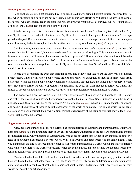#### <span id="page-11-0"></span>**Heeding advice and correcting behaviour**

Food on the plate, when not consumed by us or given to a hungry person, but kept unused, becomes foul. So too, when our faults and failings are not corrected, either by our own efforts or by heeding the advice of sympathetic souls who have succeeded in the cleansing process, imagine what the fate of our lives will be. Like the plate of boiled lentils (*dhal*) kept for too long, life will stink.

A father once praised his son's accomplishments and said in conclusion, "He has only two little faults. They are: (1) He doesn't know what his faults are, and (2) He will not listen if others point them out to him." This happened in the past. But today, not one son but each and every one is in the same predicament. It has become quite natural for every father to complain thus. Is this the value of the spiritual learning (*vidya*) they claim to have?

Children are by nature very good; the fault lies in the system that confers education (*vidya*) on them. Of course, this fact is known to all, but everyone shrinks from the task of reforming it. This is the major weakness. It is easy to advise in a million ways, but not even one thing is practised. "The system has to be transformed from the primary school right up to the universities" —this is declared and announced in newspapers— but no one can be seen who transforms it or even points out specifically what changes are to be effected and how. No one highlights the defects of the system.

People don't recognise the truth that spiritual, moral, and behavioural values are the very crown of human achievement. When not in office, people write articles and essays on education or indulge in parrot-talks from platforms. When the same people achieve positions of authority, they legislate measures quite contrary to what they proclaimed earlier. Of course, speeches from platforms are good, but their practice is paralysed. Unless this illness of speech without practice is cured, education and real scholarship cannot manifest its worth.

The magnet can draw iron toward itself, but it can't attract pieces of iron covered with dust and rust. The dust and rust on the pieces of iron have to be washed away, so that the magnet can attract. Similarly, when the mind is polished clean, the effect will be, as the poet says, "A great soul (*[mahatma](#page-59-5)*) whose sign is one thought, one word, one deed." The harmony of these three is the best proof of the worth of humanity. This unique worth is now being disclaimed by people through their own volition, through unawareness of the genuine spiritual knowledge (*[Atma](#page-55-3)[vidya](#page-55-1)*) that ought to be learned.

#### **Sugar water versus plain water**

Many scholars, pundits and experts flourished as contemporaries of [Ramakrishna Paramahamsa](#page-61-6). But awareness of the *[Atma](#page-55-3)* failed to illuminate them to any extent. As a result, the names of the scholars, pundits, and experts are not heard today. Only the name of Ramakrishna, who could not claim scholarship in any material or objective field of knowledge, has spread all over the world. Why? Sugar water and plain water look the same. Drink! Then you distinguish the one as sherbet and the other as just water. Paramahamsa's words, which are full of supreme wisdom, are the sherbet; the words of scholars, which are soaked in textual scholarship, are the plain water. Pretentious pundits who have only perused the pages go after monetary gains; they don't rush toward the Divine.

Match sticks that have fallen into water cannot yield fire when struck, however vigorously you try. Besides, they spoil even the box that holds them. So, too, hearts soaked in worldly desires and designs may pour out parrotexhortations but they can have at best only listeners, not practitioners. The listeners might receive advice, but they would not accept it or act accordingly.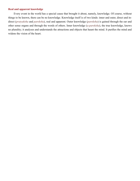#### <span id="page-12-0"></span>**Real and apparent knowledge**

Every event in the world has a special cause that brought it about, namely, knowledge. Of course, without things to be known, there can be no knowledge. Knowledge itself is of two kinds: inner and outer, direct and indirect (*[pratyaksha](#page-60-2)* and *[paroksha](#page-60-3)*), real and apparent. Outer knowledge (*[paroksha](#page-60-3)*) is gained through the ear and other sense organs and through the words of others. Inner knowledge (*[a-paroksha](#page-55-9)*), the true knowledge, knows no plurality; it analyses and understands the attractions and objects that haunt the mind. It purifies the mind and widens the vision of the heart.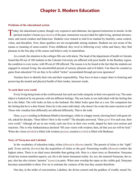## **Chapter 3. Modern Education**

#### <span id="page-13-0"></span>**Problems of the educational system**

Today, the educational system, though very expensive and elaborate, has ignored instruction in morals. In the spiritual teacher's homes (*gurukulas*) of the past, instruction was provided for right living, spiritual advanc ment, and moral conduct and behaviour. Students were trained to lead lives marked by humility, sense control, virtue, and discipline. Now, these qualities are not recognisable among students. Students are not aware of the means or meaning of sense-control. From childhood, they revel in following every whim and fancy; they find pleasure in the free play of the senses and believe only in materialism.

As a result, the situation in the colleges fills one with alarm. The head of the department of health in Calcutta found that 80 out of 100 students in the Calcutta University are afflicted with poor health. In the Bombay region, the condition is even worse, with 90 out of 100 affected. The reason is to be found in the fact that the students are engaged in sensual living, the uncontrolled pursuit of sensory pleasure and evil habits. Can these be counted as gains from education? Or are they to be called "riches" accumulated through perverse ignorance?

Teachers have to identify their role and their responsibility. They have to bear a major share in fostering and preserving the mental and physical health of their tender, innocent wards.

#### **To each their own world**

Every living being looks at the world around, but each one looks uniquely in their own special way. The same object is looked at by ten persons with ten different feelings. The son looks at one individual with the feeling that he is the father. The wife looks on him as the husband. His father looks upon him as a son. His companion has the feeling that he is a dear friend. Since he is the same individual, why doesn't he evoke the same reaction in all? Those who visualise him differently are affected differently. That is the truth.

Once, a *[guru](#page-57-0)* residing in Brahman Mutth (a hermitage), while in a happy mood, chewing betel with great relish, asked his disciple, "Dear fellow! How is the world?" The disciple answered, "Dear *[guru](#page-57-0)*! For each one, their own world." Alhough all are in one world, each one lives in their own world, shaped by their own actions and reactions. This is why [Sankaracharya](#page-62-4) declared "fill your vision with wisdom; then, all that you see will be God." When the vision (*[drishti](#page-57-4)*) is filled with wisdom (*[jnana](#page-58-4)*), creation (*srishti*) is filled with [Brahman.](#page-56-8)

#### **Story of Narayana and Lakshmi**

In the vocabulary of education today, riches (*[dhana](#page-57-5)*) is *[dharma](#page-57-6)* (merit). The pursuit of riches is the "right" path. Every activity (*[karma](#page-58-5)*) has the acquisition of riches as the goal. Possessing wealth (*[dhanam](#page-57-5)*) confers the highest status. There is no ideal more desirable than getting rich. Here is a short story as illustration: [Narayana](#page-59-4) (God) has sixteen manifest aspects; yet, He is the latent immanent reality. So, too, the material [Narayana](#page-59-4), the rupee, also has also sixteen "pennies" (*annas*) as parts. When men worship the rupee as the visible god, [Narayana](#page-59-4) becomes unreachable to them. Few try to estimate the vastness of the loss they sustain therefrom.

One day, in the midst of conversation, [Lakshmi](#page-58-6), the divine consort and the goddess of wealth, teased [Na-](#page-59-4)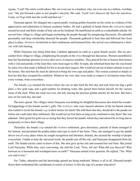[rayana,](#page-59-4) "Lord! The entire world adores Me; not even one in a hundred, why, not even one in a million, worships you." She put forward a plan to test people's sincerity. She said, "Lord! Let's discover the facts for ourselves. Come, we'll go forth into the world and find out."

[Narayana](#page-59-4) agreed. He changed into a great pundit, wearing golden bracelets on his wrists as evidence of the appreciation and admiration of famous academic bodies. He had a garland of beads (from the *rudraksha* bush) around his neck and thick streaks of holy ash on his forehead. He manifested on earth as a redoubtable scholar. He moved from village to village and began enchanting the people through his enrapturing discourses. His splendid personality and deep scholarship attracted the people. Thousands gathered to hear him and followed him from place to place. *[Brahmins](#page-56-9)* invited him to their settlements and honoured him. His arrival was celebrated as a festival, with rich feasting.

While [Narayana](#page-59-4) was being feted thus, [Lakshmi](#page-58-6) appeared on earth as a great female ascetic. She too proceeded from village to village, enlightening the people on the *[Atma](#page-55-3)* through her discourses. Women assembled to hear her fascinating speeches in wave after wave, in massive numbers. They prayed for her to honour their homes with a visit and partake of the feast they were most eager to offer. In reply, she informed them that she was bound by some vows that made it difficult for her to accept their request. She would not eat out of plates already in use in the homes. She said that she must be allowed to bring her own cups and plates. The women yearned so deeply to host her that they accepted the condition. Whatever her vow, they were ready to respect it. Invitations came from every woman, from everywhere.

The female *yogi* reached the house where she was to take food the first day and took from her bag a gold plate, a few gold cups, and a gold tumbler for drinking water. She spread them before herself, for the various items of the meal. When the meal was over, she left, leaving the precious golden articles for the host. She had a new set for each day, she said.

The news spread. The villages where [Narayana](#page-59-4) was holding his delightful discourses also heard the wonderful happenings of the female ascetic's gifts. The *[brahmins](#page-56-9)* who were staunch admirers of the far-famed scholar also rushed to invite the female *yogi* to their homes for lunch! She told them that they should drive the pundit out before she could enter their settlement. She would not set foot there as long as he continued to stay there! She was adamant. Their greed for gold was so strong that they forced the pundit, whom they had adored for so long and so pompously, to leave their village.

Thereafter, the female *yogi* entered the *[brahmin](#page-56-9)* settlement, gave discourses, partook of feasts arranged in her honour, and presented the golden plates and cups to each of her hosts. Thus, she managed to get the pundit driven out of every place where he sought recognition and attention. Instead, she secured the worship of people everywhere. Unable to bear the universal insult, the pundit cast off the role, and [Narayana](#page-59-4) disappeared from the earth. The female ascetic came to know of this. She also gave up her role and resumed her real form. She joined Lord [Narayana](#page-59-4). While they were conversing, she told the Lord, "Now, tell me! What did you discover? Who between us is honoured and worshiped more on earth?" [Narayana](#page-59-4) smiled at her question. He replied, "Yes. What you said is true."

Yes. Today, education and the knowledge gained are being marketed. Money is all in all. Educated people desert their motherland like mendicants in search of money. Is this the sign of a proper education?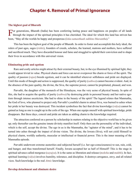## **Chapter 4. Removal of Primal Ignorance**

#### <span id="page-15-0"></span>**The highest goal of Bharath**

For generations, Bharath (India) has been conferring lasting peace and happiness on peoples of all lands through the impact of the spiritual principles it has cherished. The ideal for which this land has striven has been, "May all the worlds be happy and prosperous (*loka-samasthaah sukhino bhavanthu*)."

This has been the highest goal of the people of Bharath. In order to foster and accomplish this holy ideal, the rulers of past ages, sages (*[rishis](#page-61-4)*), founders of creeds, scholars, the learned, matrons and mothers, have suffered and sacrificed much. They have discarded honour and fame and struggled to uphold their conviction and to shape their lives in accordance with this universal vision.

#### **Eliminating pride and egotism**

Rare and costly articles might attract by their external beauty, but, to the eye illumined by spiritual light, they would appear trivial in value. Physical charm and force can never overpower the charm or force of the spirit. The quality of passion (*[rajas](#page-61-9)*) breeds egotism, and it can be identified wherever selfishness and pride are displayed. Until this mode of thought and action is suppressed, the quality of purity (*[sathwa](#page-62-5)*) cannot become evident. And, in the absence of the pure quality, the divine, the [Siva](#page-62-6), the supreme power, cannot be propitiated, pleased, and won.

[Parvathi](#page-60-4), the daughter of the monarch of the Himalayas, was the very acme of physical beauty. In spite of this, she had to acquire the quality of purity (*[sathwa](#page-62-5)*) by destroying pride in personal beauty and her native egotism through intense asceticism. She had to shine in the beauty of the spirit! The legend relates that [Manmatha](#page-59-6), the God of love, who planned to project only [Parvathi'](#page-60-4)s youthful charm to attract [Siva,](#page-62-6) was burned to ashes when her pride in her beauty was destroyed. This incident symbolises the fact that divine knowledge (*vidya*) cannot be gained as long as one is caught up in the coils of the ego. When one equips oneself with spiritual knowledge, pride disappears. But these days, conceit and pride are taken as adding charm to the knowledge required.

The attraction conferred on a person by scholarship in matters relating to the objective world has to be given up; only thereafter can the genuine innate divinity manifest itself. Only then can the personality of the individual, which is the self, accept the divine. The ego in us is the [Manmatha,](#page-59-6) the "agitator of the mind", and it has to be turned into ashes through the impact of divine vision. The divine, the [Iswara](#page-58-7) ([Siva](#page-62-6)), will not yield Himself to physical charm, worldly authority, muscular or intellectual or financial power. This is the inner meaning of the [Manmatha](#page-59-6) episode.

[Parvathi](#page-60-4) underwent extreme austerities and subjected herself (i.e. her ego-consciousness) to sun, rain, cold, and hunger, and thus transformed herself. Finally, [Iswara](#page-58-7) accepted her as half of Himself! This is the stage in spiritual advance called mergence (*[sayujya](#page-62-7)*). It is the same as liberation and release (*[moksha](#page-59-7)* and *[mukthi](#page-59-8)*). In fact, spiritual learning (*vidya*) involves humility, tolerance, and discipline. It destroys arrogance, envy, and all related vices. Such knowledge is the real *[Atmic](#page-56-2)* knowledge.

#### **Develop detachment and eliminate desire**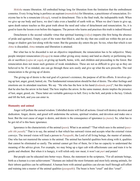<span id="page-16-0"></span>*[Moksha](#page-59-7)* means liberation. All embodied beings long for liberation from the limitation that the embodiment connotes. Every living being is perforce an aspirant (*[mumukshu](#page-59-9)*) for liberation, a practitioner of renunciation. Everyone has to be a renunciate (*thyagi*), versed in detachment. This is the final truth, the indisputable truth. When we give up our body and leave, we don't take even a handful of earth with us. When we don't learn to give up, upon death nature teaches us this great truth about the need and value of detachment and renunciation. So, it is good to learn the lesson even before this happens. The person who learns and practises this truth is indeed blessed.

Detachment is the second valuable virtue that spiritual learning (*vidya*) imparts (the first being the absence of pride and egotism). Empty a pot of the water that filled it, and the sky that one could see within the pot as an image or shadow gets lost along with the water. But the genuine sky enters the pot. So too, when that which is not *[Atma](#page-55-3)* is discarded, *[Atma](#page-55-3)* remains and liberation is attained.

But what has to be discarded is not an objective impediment; the renunciation has to be subjective. Many people interpret renunciation (*thyaga*) to mean either giving away money and land as charity or performing rituals or sacrifices (*yajna* or *yaga*), or giving up hearth, home, wife, and children and proceeding to the forest. But renunciation does not mean such gestures of weak mindedness. These are not as difficult to give up as they are believed to be. If so minded, one can go through these acts easily and give up what the acts prescribe. The real renunciation is the giving up of desire.

The giving up of desire is the real goal of a person's existence, the purpose of all his efforts. It involves giving up lust, anger, greed, hatred, etc. The fundamental renunciation should be that of desire. The other feelings and emotions are its attendant reactions. We say "He who has the bow in his hand (*kodanda pani*)"; but this implies that he also has the arrow in his hand. The bow implies the arrow. In the same manner, desire implies the presence of lust, anger, greed, etc. These latter are veritable gateways to hell. Envy is the bolt, and pride is the key. Unlock and lift the bolt, and you can enter in.

#### **Humanity and animal**

Anger will pollute the earned wisdom. Unbridled desire will foul all actions. Greed will destroy devotion and dedication. Anger, desire, and greed will undermine the actions, spiritual wisdom, and devotion and make one a boor. But the root cause of anger is desire, and desire is the consequence of ignorance (*[a-jnana](#page-55-10)*). So, what has to be got rid of is this basic ignorance.

Ignorance is the characteristic of the animal (*[pasu](#page-60-5)*). What is an animal? "That which sees is the animal (*pasyathi ithi pasuh*)." That is to say, the animal is that which has outward vision and accepts what the external vision conveys. The inward vision will lead a person to *[Pasupathi](#page-60-6)*, the Lord of all living beings, the master of animals. One who has not mastered the senses is the animal. The animal has harmful qualities born along with it, qualities that cannot be eliminated so easily. The animal cannot get free of them, for it has no capacity to understand the meaning of the advice given. For example, we may bring up a tiger cub with affectionate care and train it to be gentle and obedient. But when it is hungry, it will relish only raw meat; it won't eat *puri* and potato!

But people can be educated into better ways. Hence, the statement in the scriptures, "For all animate beings, birth as a human is a rare achievement." Humans are indeed the most fortunate and most holy among animals, for their inborn qualities can be sublimated. A human born with animal qualities can elevate itself through self-effort and training into a master of the animal qualities (*p[asupathi](#page-60-6)*). The beast is born "cruel" and dies "cruel".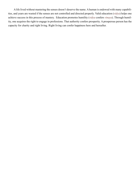A life lived without mastering the senses doesn't deserve the name. A human is endowed with many capabilities, and years are wasted if the senses are not controlled and directed properly. Valid education (*vidya*) helps one achieve success in this process of mastery. Education promotes humility (*vidya* confers *vinaya*). Through humility, one acquires the right to engage in professions. That authority confers prosperity. A prosperous person has the capacity for charity and right living. Right living can confer happiness here and hereafter.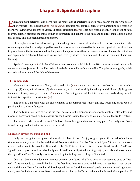## **Chapter 5. Spiritual Discipline**

<span id="page-18-0"></span>ducation must determine and delve into the nature and characteristics of spiritual search for the Absolute or<br>the Overself —the Highest Atma (Paramatma). It must prove its true character by manifesting as a spring of morality, laying down axioms of virtue. Spiritual education (*vidya*) is its own visible proof. It is the root of faith in every faith. It prepares the mind of man to appreciate and adhere to the faith and to direct man's living along that course. This has been named philosophy.

Philosophy means love of knowledge. Knowledge is a treasure of incalculable richness. Education is the relentless pursuit of knowledge, urged by love for its value and undeterred by difficulties. Spiritual education tries to probe behind the forms assumed by things and the appearances they put on and discover the reality that alone can explain them. The truth has to be known and lived by; it has to be visualised; this is the function of spiritual learning.

Spiritual learning (*vidya*) is the effulgence that permeates a full life. In the West, education deals more with concepts and conjectures; in the East, education deals more with truth and totality. The principle sought by spiritual education is beyond the field of the senses.

#### **The human body**

Man is a triune composite of body, mind, and spirit (*[Atma](#page-55-3)*). As a consequence, man has three natures in his make up: (1) a low, animal nature, (2) a human nature, replete with worldly knowledge and skill, and (3) the genuine nature of man, namely, the divine, *[Atmic](#page-56-2)* nature. Becoming aware of this third nature and establishing oneself in it —this is spiritual education (*vidya*).

The body is a machine with the five elements as its components: space, air, fire, water, and earth. God is playing with it, Himself unseen.

The body is a tree; love of Self is the root; desires are the branches it sends forth; qualities, attributes, and modes of behaviour based on basic nature are the flowers issuing therefrom; joy and grief are the fruits it offers.

The human body is a world in itself. The blood flows through and animates every part of the body. God flows in and through and activates every spot in the world.

#### **Education reveals the good and bad**

Only one law guides and guards this world: the law of love. The joy or grief, good life or bad, of each nation or community is decided by and derived from its activities. The "bad" is in fact "good" in reverse. It serves to teach what has to be avoided. It would not be "bad" for all time; it is ever short lived. Neither "bad" nor "good" can be pronounced as "absolutely unrelieved" states. Spiritual learning (*vidya*) reveals and makes clear that "good" and "bad" are only reactions caused by the failings and feelings of the mind.

One must be able to judge the difference between one "good thing" and another that seems to us to be "better". If one cannot do so, one will hold on to the first thing that seems good and discard the rest. But it must be understood that the "better" is not harmful to the good. Just as "unrighteousness" prods one to cultivate "righteousness", troubles induce one to manifest compassion and charity. Suffering is the inevitable seed of compassion. If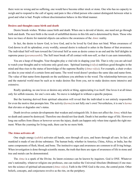<span id="page-19-0"></span>there were no wrong and no suffering, one would have become either stock or stone. One who has no capacity to weigh and to respond to the call of agony and pain is like a blind person who cannot distinguish between what is good and what is bad. People without discrimination behave in this blind manner.

#### **Desires and thoughts cause birth and death**

Desire breeds wishes. Wishes cause birth and death. When one is devoid of desire, one need not go through birth and death. The next birth is the result of unfulfilled desires in this life and is determined by them. Those who have no trace of desire for material objects can achieve the awareness of the *[Atmic](#page-56-2)* reality.

In fact, the desire to know God, to love God, and to be loved by God does not bind. When awareness of God dawns in all its splendour, every worldly, sensual desire is reduced to ashes in the flames of that awareness. The individual Self will turn toward the Universal Self as soon as desire comes to an end and the Self delights in supreme peace (*[paramasanthi](#page-60-8)*). The Self must break off all contact with non-self, so that it can earn immortality.

You are a heap of thoughts. Your thoughts play a vital role in shaping your life. That is why you are advised to watch your thoughts and to welcome only good ones. Spiritual learning (*vidya*) stabilises good thoughts in the mind and thus rises to the status of knowledge of the supreme Reality (*[Atma-vidya](#page-55-1)*). For example, a chair evokes an idea in your mind of a certain form and name. The word wood doesn't produce the same idea and name-form. The value of that name-form depends on the usefulness you attribute to the wood. The relationship between you and the material world must be such as to make desires flee from you, not to make desires more intensive and extensive.

Really speaking, no one loves or desires any article or thing, appreciating it as itself. One loves it at all times only for selfish reasons, for one's own sake. No move is indulged in without a specific purpose.

But the learning derived from spiritual education will reveal that the individual is not entirely responsible for even the motive that prompts him. The activity (*[karma](#page-58-5)*) is not fully one's own! Nevertheless, it is one's *[karma](#page-58-5)* that elevates or degrades one's status.

Death involves certain developments that weaken and extinguish life. It does not affect the *[Atma](#page-55-3)*; which has no death and cannot be destroyed. Therefore one should not fear death. Death is but another stage of life. However long one suffers from illness or however severe the injury, death can happen only when time signals the right moment. When the yearning for living ends, there can be no more birth.

#### **The Atma activates all**

One single energy (*[sakthi](#page-61-10)*) activates all hands, sees through all eyes, and hears through all ears. In fact, all mankind is made of one divine substance. The human body, whether in America, China, Africa, or India, has the same components of flesh, blood, and bone. The instinctive urges and awareness are common to all living beings. When investigation is done through scientific means, the truth that there are signs of awareness of life in stone and tree and metals can be demonstrated.

The *[Atma](#page-55-3)* is a spark of the Divine. Its latent existence can be known by inquirers. God is ONE. Whatever one's nationality, whatever religion one professes, one can realise the Universal Absolute ([Brahman\)](#page-56-8) if one masters the science of spiritual advancement (*[Atma-vidya](#page-55-1)*). Faith in the ONE God is the crux, the central point. Other beliefs, concepts, and conjectures revolve as the rim, on the periphery.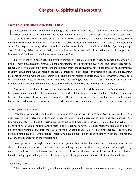## **Chapter 6. Spiritual Preceptors**

#### <span id="page-20-0"></span>**Learning without culture of the spirit is barren**

The inescapable destiny of every living being is the attainment of Fullness. It can't be avoided or denied. Our present condition of incompleteness is the consequence of thoughts, feelings, passions, and acts of past lives So too, our future condition is being built on the basis of our present deeds, thoughts, and feelings. Thus, we are the cause of our own fortunes and misfortunes. This doesn't mean that we shouldn't seek and secure assistance from others to promote our good fortune and avoid misfortune. Such assistance is essential for all, except perhaps a small minority. When we get this help, our consciousness is purified and sublimated and our spiritual progress is accelerated. In the end, we achieve perfection and fullness.

This vivifying inspiration can't be obtained through the perusal of books. It can be gained only when one mind element contacts another mind element. Spending an entire life pouring over books and thereby becomes intellectually very talented can't advance to the slightest extent the cultivation of the spirit. It would be unwarranted to claim that a person who has reached the acme of intelligence has thereby progressed and succeeded in reaching the acme of spiritual wisdom. Scholarship and culture are not related as cause and effect. However learned one is in worldly knowledge, unless one's mind is cultured, the learning is mere junk. The best and most fruitful system of education teaches culture and helps the culture permeate and purify the learning that is gathered.

As a result of the study of books, or, in other words, as a result of worldly education, one's intelligence may be sharpened and expanded. One can even deliver wonderful discourses on spiritual subjects. But, one's spiritual life cannot be taken to have advanced in proportion. The teaching imparted to us by another person might not enter the heart and transform one's nature. This is why learning without intensive culture of the spirit proves barren.

#### **Pupils, gurus, and Avatars**

Only the great one who has the *[Atmic](#page-56-2)* truth imprinted on the heart is to be accepted as *[guru](#page-57-0)*. And only the individual who can welcome this truth and is eager to know it is to be accepted as pupil. The seed must have the life principle latent in it, and the field must be ploughed and made fit for sowing. The spiritual harvest will be plentiful if both these conditions are fulfilled. The listener has to possess a clear receptive intellect, or else the philosophical principles that form the basis of spiritual wisdom (*[jnana](#page-58-4)*) will not be comprehended. The *[guru](#page-57-0)* and the pupil both have to be of this stature. Others who have no such qualification or authority can only dabble and play about purposelessly in the spiritual field.

Some *[gurus](#page-57-0)* have far higher stature and far deeper capabilities than these learned and cultural masters: the *[Avatars](#page-56-10)*, the human incarnations of God. By mere willing, they confer the blessing of spiritual strength. They command and, by the very force of that command, the lowest of the low rises to the status of one who has attained.. Such people are the *[gurus](#page-57-0)* of all *[gurus](#page-57-0)*. They are the highest manifestations of God in human form.

#### **Visualising God**

A human can visualise God only as a human. God appears in human form in answer to human prayer, since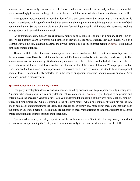<span id="page-21-0"></span>humans can experience only that vision as real. Try to visualise God in another form, and you have to contemplate some crooked ugly form and make great effort to believe that that form, which is lower than the real one, is He.

One ignorant person agreed to mould an idol of [Siva](#page-62-6) and spent many days preparing it. As a result of his labour, he produced an image of a monkey! Humans are unable to picture, through imagination, any form of God beyond the human. So, we have to wait for the chance of perceiving the reality of the Person by ourselves reaching a stage above and beyond the human level.

As at present created, humans are encased by nature, so they can see God only as a human. There is no escape. When buffalos yearn to worship God, limited as they are by the buffalo nature, they can imagine God as a Cosmic Buffalo. So too, a human imagines the divine Principle as a cosmic perfect person (*[purusha](#page-61-11)*) with human limbs and human qualities.

Human, buffalo, fish —these can be compared to vessels or containers. Take it that these vessels proceed to the limitless ocean of Divinity to fill themselves with it. Each can have it only in its own shape and size, right? The human vessel will earn and accept God as having a human form; the buffalo vessel, a buffalo form; the fish vessel, a fish form. All these vessel-forms contain the identical water of the ocean of divinity. When people visualise God, they see God as human. Each imposes on God its own form. If we try to imagine God to have some special peculiar form, it becomes highly distorted, as in the case of an ignorant man who labours to make an idol of [Siva](#page-62-6) and ends up with a monkey form!

#### **Spiritual education is experiencing the truth**

The petty investigation done by ordinary reason, unfed by wisdom, can help to perceive only nothingness. A person who investigates thus can only deliver lectures condemning *[Avatars](#page-56-10)*. If you happen to be present and listening, ask the speaker, "Venerable sir! Have you understood the meaning of the words omnilocation, omnipotence, and omnipresence?" One is confined to the objective nature, which one contacts through his senses. So, one is helpless in understanding these ideas. The speaker doesn't know any more about these concepts than does the common unlettered person. Though they are ignorant of these vast horizons of thought, speakers of this type create confusion and distress through their teachings.

Spiritual education is, in reality, experience of the truth, awareness of the truth. Pleasing oratory should not be mistaken as experiencing the Truth, which comes about only in the innermost tabernacle of the Self.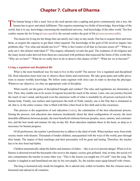## **Chapter 7. Culture of Dharma**

<span id="page-22-0"></span>The human being is like a seed. Just as the seed sprouts into a sapling and grows continuously into a tree, the human has to grow and attain fulfilment. This requires mastering two fields of knowledge. Knowledge of the world, that is to say, knowledge concerning the manifested universe. And knowledge of the other world. The first confers means the for living (*[jivana-upadhi](#page-58-8)*); the second confers the goal of life (*[jivana-paramavadhi](#page-58-9)*).

The means for living are the things that can satisfy one's day-to-day needs. One has to acquire them and store them, or acquire the capacity to get them when required. The knowledge of the goal of life involves inquiry into problems like: "For what end should one live?" "Who is the Creator of all that we become aware of?" "What exactly am I, this distinct individual I?" This enquiry ultimately reveals the goal. The scriptures of all religions and the many moral codes derived from them are concerned with problems that transcend the limits of this world like: "Why are we here?" "What do we really have to do to deserve this chance of life?" "What are we to become?"

#### **Living a regulated and disciplined life**

What is the most beneficial way for man to live in this world? The answer: live a regulated and disciplined life. Real education must train one to observe these limits and restrictions. We take great pains and suffer privations to master worldly knowledge. We follow some regimen with strict care in order to develop the physique. Whatever our objective, we obey an appropriate code of discipline.

What exactly are the gains of disciplined thought and conduct? The rules and regulations are elementary at first. Then, they enable one to be aware of regions beyond the reach of the senses. Later, one can journey beyond the reach of one's mind, and beyond even the outermost walls of what is reachable by all powers enclosed in the human body. Finally, one realises and experiences the truth of Truth, namely, one is the One that is immanent in all, that is, in the entire cosmos. One is filled with bliss when fixed in this faith and in this awareness.

This process is the acquisition of real education (*vidya*), the culmination of the best educational process. During the process, real education also instructs incidentally about the ideal configuration of society, the most desirable affiliations between people, the most beneficial relations between peoples, races, nations, and communities, and the best mode and manner for day-to-day life. Real education implants these in the heart, as deep as is necessary for human progress.

Of all professions, the teacher's profession has to adhere to the ideal of truth. When teachers stray from truth, society meets with disaster. Thousands of tender children, unacquainted with the ways of the world, pass through their hands. The impact of their teachings and their personality will be great and lasting. Therefore, the teacher has to be free from bad habits.

Children automatically adopt the habits and manners of elders —this is an ever-present danger. When evil influence is directed toward the thousands who receive the impact, society gets polluted. And, in time, the social evil also contaminates the teacher in some other way. "This is the lesson you taught me, O Lord!" runs the song. The teacher is laughed at and humiliated one day by his own pupils. So, the teacher must equip himself with virtues.

The king is honoured only inside his kingdom. He is adored only within its borders. But the virtuous man is honoured and adored in all countries.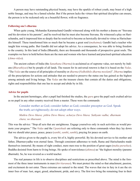<span id="page-23-0"></span>A person may have outstanding physical beauty, may have the sparkle of robust youth, may boast of a high noble lineage, and may be a famed scholar. But if the person lacks the virtues that spiritual discipline can ensure, the person is to be reckoned only as a beautiful flower, with no fragrance.

#### **Following one's dharma**

When quite young, [Mohandas Karamachand Gandhi](#page-57-7) witnessed along with his mother a drama on ["Sravana](#page-63-4) and his devotion to his parents", and he resolved that he must also become [Sravana.](#page-63-4) He witnessed a play on Harischandra, and it impressed him so deeply that he resolved to become as heroically devoted to virtue as Harischandra himself. These transformed him so much that he became a great soul (*[mahatma](#page-59-5)*). [Gandhi](#page-57-7) had a teacher who taught him wrong paths. But [Gandhi](#page-57-7) did not adopt his advice. As a consequence, he was able to bring freedom to the country. In this land of India (Bharath), there are thousands and thousands of prospective great souls. The examples we have to hold before them are the men and women who have learned and practised spiritual education (*[Atma-vidya](#page-55-1)*).

The ancient culture of India (the *[Sanathana Dharma](#page-62-8)*) is acclaimed as of supreme value, not merely by Indians (*[Bharathiyas](#page-56-11)*) but by people of all lands. The reason for its universal renown is that it is based on the *[Vedas](#page-64-3)*. "The *[Vedas](#page-64-3)* are the source of all principles of morality or *[dharma](#page-57-6)* (*Vedhokhilo dharma moolam*)". *[Dharma](#page-57-6)* implies all the prescriptions for actions and attitudes that are needed to preserve the status one has gained as the highest among animals and living beings. The *[Vedas](#page-64-3)* are the treasure chests that contain all the duties and obligations, rights and responsibilities that one has to accept and abide by in life.

#### **Advice for pupils**

In the ancient hermitages, after a pupil had finished the studies, the *[guru](#page-57-0)* gave the pupil such exalted advice as no pupil in any other country received from a master. These were the commands:

Consider mother as God; consider father as God; consider preceptor as God. Speak the truth; act righteously; do not adopt other ways.

*Mathru Devo bhava; pithru Devo bhava; acharya Devo bhava. Sathyam vadha; dharmam chara; no itharaani*.

This was the advice: "Stop all acts that are unrighteous. Engage yourselves only in such activities as would promote your progress." The *[Vedas](#page-64-3)* and the *[Upanishads](#page-63-1)* are referring only to these commands when they lay down that we should utter peace, peace, peace (*[santhi](#page-62-9)*, *[santhi](#page-62-9)*, *[santhi](#page-62-9)*), praying for peace on earth.

The advice given to the pupils is, every bit of it, highly powerful. By his devoted service to his mother and father, [Dharmavyadha](#page-57-8) won eternal fame. Through consistent adherence to truth, [Rama](#page-61-12) and [Harischandra](#page-57-9) made themselves immortal. By means of right conduct, mere men rose to the position of great sages (*[maha-purushas](#page-59-10)*). [Buddha](#page-56-12) desisted from harm to living beings. He spoke of nonviolence (*[ahimsa](#page-55-11)*) as "the highest morality (paramo dharmah). So, he was revered as a world teacher.

The real penance in life is to observe disciplines and restrictions as prescribed above. The mind is the foremost of the three inner instruments in man (*thri-karanas*). We must protect the mind so that attachment, passion, and excitement do not enter. These extremes are natural to the mind. The waves that rise in fury in it are the six inner foes of man: lust, anger, greed, attachment, pride, and envy. The first two bring the remaining four in their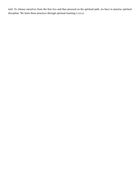trail. To release ourselves from the first two and thus proceed on the spiritual path, we have to practise spiritual discipline. We learn these practices through spiritual learning (*vidya*).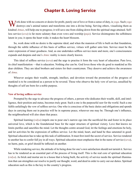## **Chapter 8. Loving Service**

<span id="page-25-0"></span>Work done with no concern or desire for profit, purely out of love or from a sense of duty, is *yoga*. Such *yoga* destroys one's animal nature and transforms one into a divine being. Serving others, visualising them as kindred *[Atmas](#page-55-3)*, will help one to progress; it will save one from sliding down from the spiritual stage attained. Selfless service (*seva*) is far more salutary than even vows and worship (*[puja](#page-60-9)*). Service disintegrates the selfishness latent in you; it opens the heart wide; it makes the heart blossom.

So, work done with no desire is the supreme ideal; and when the mansion of life is built on that foundation, through the subtle influence of this basis of selfless service, virtues will gather unto him. Service must be the outer expression of inner goodness. And, as one undertakes selfless service more and more, one's consciousness expands and deepens and one's *[Atmic](#page-56-2)* reality is more clearly known.

This ideal of selfless service (*seva*) and the urge to practise it form the very heart of education. Pure love, its chief manifestation —that is education. Nothing else can be. God loves those who do good to mankind as His dear children. They are ideal brothers and sisters for their countrymen. They deserve and achieve the awareness of *[Atma](#page-55-3)*.

Whoever assigns their wealth, strength, intellect, and devotion toward the promotion of the progress of mankind is to be considered as a person to be revered. Those who observe the holy vow of service, unsullied by thoughts of self are born for a noble purpose.

#### **Vow of loving selfless service**

Prompted by the urge to advance the progress of others, a person who dedicates their wealth, skill, and intelligence, their position and status, becomes truly great. Such a one is the purposeful seer for the world. Such a one fulfils unfailingly the vow of selfless service. One who is conscious of the basic duties and obligations and spends days in carrying them out in practice will be in supreme peace, wherever one may be. Through one's influence, the neighbourhood will also share that peace.

Spiritual learning (*vidya*) impels one to pour one's narrow ego into the sacrificial fire and foster in its place universal love, which is the foundational base for the super structure of spiritual victory. Love that knows no limits purifies and sanctifies the mind. Let the thoughts centre around God, let the feelings and emotions be holy, and let activities be the expression of selfless service. Let the mind, heart, and hand be thus saturated in good. Spiritual education has to take up this task of sublimation. It must first instil the secret of service. Service rendered to another has to confer full joy in all ways. Spiritual education must emphasise that in the name of service (*seva*), no harm, pain, or grief should be inflicted on another.

While rendering service, the attitude of its being done for one's own satisfaction should not tarnish it. Service has to be rendered as an essential part of the process of living itself. This is the real core of spiritual education (*vidya*). As brick and mortar are to a house that is being built, the activity of service needs the spiritual illumination that can strengthen our resolve to purify our thought, word, and deed in order to carry out our duties. Spiritual education such as this is the key to the country's progress.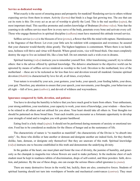#### <span id="page-26-0"></span>**Service as dedicated worship**

What exactly is the secret of ensuring peace and prosperity for mankind? Rendering service to others without expecting service from them in return. Activity (*[karma](#page-58-5)*) that binds is a huge fast growing tree. The axe that can cut its roots is this: Do every act as an act of worship to glorify the Lord. This is the real sacrifice (*yajna*), the most important ritual. This sacrifice promotes and confers knowledge of [Brahman](#page-56-8) (*[Brahma-vidya](#page-56-0)*). Note that the yearning to do selfless service must flow in every nerve of the body, penetrate every bone and activate every cell. Those who engage themselves in spiritual discipline (*[sadhana](#page-61-13)*) must have mastered this attitude toward service.

Selfless service (*seva*) is the blossom of love (*[prema](#page-60-10)*), a flower that fills the mind with rapture. Harmlessness is the fragrance of that flower. Let even your little acts be redolent with compassion and reverence; be assured that your character would thereby shine greatly. The highest happiness is contentment. Where there is no harshness, holiness will thrive and virtue will flourish. Where greed exists, vice will breed thick. One must completely destroy the urge to live an isolated life, like a lone bull. Do not entertain such a wish even in dreams.

Spiritual learning (*vidya*) instructs you to remember yourself first. After transforming yourself, try to reform others: that is the advice offered by spiritual knowledge. The delusive attachment to the objective world can be uprooted by means of selfless service rendered as worship to the Lord. Devotion to the motherland, love of the motherland —these are to be reckoned as far less than love and devotion toward all mankind. Genuine spiritual devotion (*[bhakthi](#page-56-13)*) is characterised by love for all, at all times, everywhere.

Your nature is revealed by your acts, your gestures, your looks, your speech, your feeding habits, your dress, your gait. Therefore, pay attention to ensure that your speech, your movements, your thoughts, your behaviour are all right —full of love, pure (*[sathwic](#page-62-10)*), and devoid of wildness and waywardness.

#### **Ignorance conquered by faith, devotion, and patience**

You have to develop the humility to believe that you have much good to learn from others. Your enthusiasm, your strong ambition, your resolution, your capacity to work, your store of knowledge, your wisdom —these have to be related to all others and not utilised for you alone. Your heart should take all others in. Your thoughts too should be patterned on those broad lines. Treat each trouble you encounter as a fortunate opportunity to develop your strength of mind and to toughen you with greater hardihood.

Eating food is a holy ritual (*yajna*). It should not be performed during moments of anxiety or emotional tension. Food has to be considered as medicine for the illness of hunger and as the sustenance of life.

The characteristic of nature is "to manifest as manifold"; the characteristic of the Divine is "to absorb into unity". So, those who dislike or hate another or demean and denigrate another are indeed fools, for they thereby dislike, hate, demean, or denigrate only themselves! But they are unaware of this truth. Spiritual knowledge (*vidya*) instructs one to become established in this truth and demonstrate the underlying divinity.

In the garden of the heart, one must plant and foster the rose of divinity, the jasmine of humility, and generosity as the champak (a magnolia tree whose flowers are used to make perfume). In the medicine chest of each student must be kept in readiness tablets of discrimination, drops of self-control, and three powders: faith, devotion, and patience. By the use of these drugs, one can escape the serious illness called ignorance (*[a-jnana](#page-55-10)*).

There are many destructive forces in the world, but, luckily, there are also, constructive forces. Students of spiritual learning should not turn into worshipers of bombs and mechanical contrivances (*yantras*). They must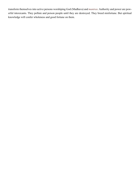transform themselves into active persons worshiping God ([Madhava](#page-59-11)) and *[mantras](#page-59-1)*. Authority and power are powerful intoxicants. They pollute and poison people until they are destroyed. They breed misfortune. But spiritual knowledge will confer wholeness and good fortune on them.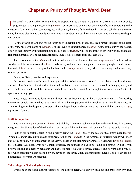## **Chapter 9. Purity of Thought, Word, Deed**

<span id="page-28-0"></span>The benefit we can derive from anything is proportional to the faith we place in it. From adoration of gods, pilgrimages to holy places, uttering *[mantras](#page-59-1)*, or resorting to doctors, we derive benefits only according to the measure of our faith. When someone gives a discourse, the more faith we have in them as a scholar and an exponent, the more clearly and directly we can draw the subject into our hearts and understand the discourse deeper and deeper.

For the growth of faith and for the fostering of understanding, an essential requirement is purity of the heart, of the very base of thought (the *[kshetra](#page-58-10)*), of the levels of consciousness (*[chittha](#page-57-10)*). Without this purity, the sudden effort of self-inquiry or investigation into the self-existent *[Atma](#page-55-3)*, while in the midst of diverse worldly and material entanglements, will be rendered fruitless, since it will not stem from an eager will.

The consciousness (*[chittha](#page-57-10)*) must first be withdrawn from the objective world (*[prapancha](#page-60-11)*) and turned inward toward the awareness of the *[Atma](#page-55-3)*. Seeds can sprout fast only when planted in a well-ploughed land. So too, the seed of *[Atmic](#page-56-2)* wisdom can sprout in the heart-field (*[hridaya-kshetra](#page-58-11)*) only when it has undergone the necessary refining process.

Don't just listen, practise and experience

Do not rest content with mere listening to advice. What you have listened to must later be reflected upon, and what has thus been imprinted on the mind has later to be experienced and expressed in thought, word, and deed. Only thus can the truth be a treasure in the heart; only then can it flow through the veins and manifest in full splendour through you.

These days, listening to lectures and discourses has become just an itch, a disease, a craze. After hearing them once, people imagine they have known all. But the real purpose of the search for truth is to liberate oneself. The yearning must be deep and persistent. The longing to know and experience the truth will then become a *yoga*, a process of union.

#### **Faith is important**

The union in *yoga* is between *[dharma](#page-57-6)* and divinity. The more such evils as lust and anger breed in a person, the greater the diminution of the divinity. That is to say, faith in the *[Atma](#page-55-3)* will decline fast, as the evils develop.

Faith is all important, faith in one's reality being the *[Atma](#page-55-3)* —that is the real spiritual knowledge (*vidya*). When lust, anger, etc., diminish and disappear, faith in the *[Atma](#page-55-3)* and in the rightness of spiritual inquiry will grow and get confirmed. Non-attachment is the very foundation for attaining awareness of [Brahman](#page-56-8) (*[Brahma-jnana](#page-56-14)*), the Universal Absolute. Even for a small structure, the foundation has to be stable and strong, or else it will pretty soon fall as a heap. When a garland has to be made, we want a string, a needle, and flowers, don't we? So too, when spiritual wisdom has to be won, devotion (the string), non-attachment (the needle), and steady singlepointedness (flowers) are essential.

#### **Take refuge in God and gain victory**

Everyone in the world desires victory; no one desires defeat. All crave wealth; no one craves poverty. But,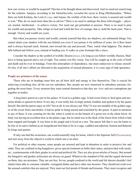<span id="page-29-0"></span>how can victory or wealth be acquired? This has to be thought about and discovered. And we need not search long for the solution. [Sanjaya](#page-62-11), according to the *[Mahabharatha](#page-59-12)*, revealed the secret to King [Dhritharashtra](#page-57-11), "Where there are both [Krishna,](#page-58-0) the Lord of *yoga*, and [Arjuna,](#page-55-2) the wielder of the bow, there victory is assured and wealth is won." Why do we need more than this as advice? There is no need to undergo the three-fold struggle —physical, mental, intellectual— to achieve victory. Nor need one get perturbed or anxious. There is no need to pine for wealth and prosperity. Take refuge in God and wield the bow of courage, that is, hold the heart pure. That is enough. Victory and wealth are yours.

But when you pursue victory and wealth, remind yourself that they are shadows, not substantial things. You cannot attain your shadow with the sun behind you even if you pursue it for millions of years, for it flees faster and is always beyond reach. Instead, turn toward the sun and proceed. Then, watch what happens. The shadow falls behind and follows you, instead of leading you. It walks on your footsteps like a slave.

Consider the shadow as the symbol of worldly illusion (*[maya](#page-59-13)*.) As long as you follow worldly illusion, [Mad](#page-59-11)[hava](#page-59-11) is being ignored and is out of sight. You cannot win His vision. You will be caught up in the coils of birth and death and be ever in bondage. From this atmosphere of dependence, one must endeavour to release oneself. Or else, if all one's efforts are directed to the acquisition of sensual pleasures, it is a sure sign of rank ignorance.

#### **People are prisoners of the senses**

Those who are in bondage must first use all their skill and energy to free themselves. This is crucial for achieving everything else; all the rest are subsidiary. But, people are now immersed in subsidiary pursuits, forgetting the most basic. Every moment they must remind themselves that they are *[Atma](#page-55-3)* and not contraptions put together as bodies.

A king had a parrot as a pet in his palace. It lived in a golden cage. It had sweet fruits to feed upon and nectarine drinks to quench its thirst. Every day, it was richly fed, lovingly petted, fondled, and spoken to by the queen herself. But did the parrot enjoy its life? Not at all. It was always sad. Why? It was not mindful of the golden cage, or of the sweet fruits and drinks; it had no pride in being nursed and nourished by the queen. It paid no attention to any of these. It was yearning for the day when it could sit on the branch of a green tree in the silent forest. Its body was having an excellent time in the palace cage, but its mind was in the thick of the forest from which it had been trapped and brought. It was born in the jungle and it lived on a tree. The parrot felt that it was far better to be free in its native habitat as an insignificant bird than to be in a cage, coddled and admired, feasted and flattered by kings and queens.

If only one had this awareness, one would assuredly long for home, which is the Supreme Self (*[Paramatma](#page-60-7)*), and turn away from the objective world in which one is an alien.

For political or other reasons, some people are arrested and kept in detention in order to preserve law and order. They are confined in big bungalows, given special treatment as befits their status, and provided with meals, etc., commensurate with their grades in social and political life. They are also given articles of luxury. But around the bungalow and garden, policemen are always on guard. Whatever the standard of life and the regard showered on them, they are prisoners. They are not free. So too, people confined in the world and life therein shouldn't feel elated when able to consume valuable, variegated dishes and have other rare luxuries. They should not exult over the sensual comforts that are enjoyed. They must not feel proud of friends and kinsmen. They must recognise and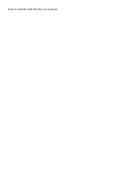keep in mind the truth that they are in prison.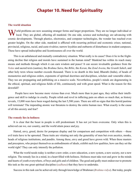## **Chapter 10. Need for Spirituality**

#### <span id="page-31-0"></span>**The world situation**

World problems are now assuming stranger forms and larger proportions. They are no longer individual or local. They are global, affecting all mankind. On one side, science and technology are advancing with cosmic developments. Through plastics, electronics, and computer technologies, the wonder has reached even greater heights. On the other side, mankind is afflicted with recurring political and economic crises; national, provincial, religious, racial, and caste rivalries; narrow loyalties and outbursts of disturbance in student campuses. These have spread indiscipline and licentiousness all over the world.

This is an unbalanced and mutually contradictory situation. What really is its cause? Does it lie in the frightening decline that religion and morals have sustained in the human mind? Mankind has within its reach many means and methods through which it can earn wisdom and peace! It can secure invaluable guidance from the *[Vedas](#page-64-3)* and sacred texts (sastras), the *[Brahma Sutra](#page-56-4)*, the *[Bible](#page-56-15)*, the *[Koran](#page-58-12)*, the *[Zend Avesta](#page-65-0)*, the *[Granth Saheb](#page-57-12)*, and other holy texts whose number exceeds thousand. There is no dearth in this land, Bharath (India), of heads of monasteries and religious orders, exponents of spiritual doctrines and disciplines, scholars and venerable elders. They too are propagating and publishing on a massive scale. Nevertheless, people's minds are degenerating in the ethical, spiritual, and religious fields of life, continuously and with great speed. What is the reason for this downfall?

 People have now become more vicious than ever. Much more than in past ages, they utilise their intelligence and skill to indulge in cruelty. People relish and revel in inflicting pain on others so much that, as history reveals, 15,000 wars have been waged during the last 5,500 years. There are still no signs that this horrid pastime will terminate! The impending atomic war threatens to destroy the entire human race. What exactly is the cause of all this anxiety and fear?

#### **The remedy lies in holiness**

It is clear that the beast in people is still predominant. It has not yet been overcome. Only when this is achieved can we, our country, and the world attain peace and joy.

Hatred, envy, greed, desire for pompous display and for comparison and competition with others —these evil traits have to be uprooted. These traits are vitiating not only the generality of men but even ascetics, monks, heads of religious institutions, and pundits. Among these, envy and greed have grown wild. When these masters and preceptors, who project themselves as embodiments of ideals, exhibit such low qualities, how can they set the world right? They can only intensify the pollution.

What the world needs today is neither a new order, a new education, a new system, a new society, nor a new religion. The remedy lies in a mind, in a heart filled with holiness. Holiness must take root and grow in the minds and hearts of youth everywhere, of boys and girls and of children. The good and godly must endeavour to promote this task as the one great spiritual discipline (*[sadhana](#page-61-13)*) that they have to undertake.

Success in this task can be achieved only through knowledge of [Brahman](#page-56-8) (*[Brahma-vidya](#page-56-0)*). But today, people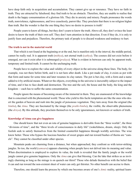<span id="page-32-0"></span>have deep faith only in acquisition and accumulation. They cannot give up or renounce. They have no faith in truth. They are attracted by falsehood; they find truth to be an obstacle. Therefore, they are unable to realise that death is the happy consummation of a glorious life. They die in anxiety and misery. People pronounce the words truth, nonviolence, righteousness, and love ceaselessly, parrot-like. They proclaim that there is no religion higher than truth. But the wonder is that the one thing they have no desire to possess is truth!

People yearn to know all things, but they don't yearn to know the truth. Above all, they don't evince the least desire to know the truth of their own self. They don't turn attention in that direction. Even if they do, it is only to justify fears and prejudices. Therefore, the primary task of people is to discard weakness and tendency to hurt.

#### **The truth is not in the material world**

That which is not found at the beginning or at the end, but is manifest only in the interval, the middle period, cannot be really real. It is apparent truth (*[mithya](#page-59-14)*), not eternal truth (*[sathya](#page-62-0)*). The cosmos did not exist before it emerged, nor can it exist after it is submerged (*[pralaya](#page-60-12)*). What is evident in between can only be apparent truth, temporary and limited truth. It cannot be the unchanging truth.

People have to explore the value and validity of every object in the universe along these lines. The body, for example, was not there before birth, and it is not here after death. Like a pot made of clay, it exists as pot with that form and name for some time and later resumes its clay nature. The pot is but clay, with a form and a name added to it by artificial means. Whatever the objects, everything in the universe is inexorably subject to the impact of time, and it has to face death and destruction. The tree and the soil, the house and the body, the king and the kingdom —each has to suffer the same consummation.

People ignore the means of becoming aware of the immortal in them. They are enamoured of the knowledge that is concerned with the phenomenal world. Those who yield to this facile temptation are like the ones who desert the garden of heaven and rush into the jungle of poisonous vegetation. They turn away from the original (the *[bimba](#page-56-16)*), the *[Atma](#page-55-3)*. They are fascinated by the image (the *[prathi-bimba](#page-60-13)*), the visible, the observable phenomena (the *[drisya](#page-57-13)*). By this attitude, they proclaim themselves to be only ignoramuses, not knowers or seekers of truth.

#### **Knowledge of Atma can give happiness**

One should know that not even an iota of genuine happiness is derivable from the "three worlds", the three "divisions of time", and the "three levels of consciousness in daily life" (wakefulness, dream, sleep). Only the foolish seek to satisfy themselves from the limited counterfeit happiness through worldly activities. The wise know better. Those who bypass the luscious bunches of sweet grapes and run toward bushes of thorns are "camels". They cannot be classified under other species.

Mountain peaks are charming from a distance, but when approached, they confront us with terror-striking jungles. So too, the world (*[samsara](#page-62-12)*) appears charming when people have not delved into its meaning and value. When discrimination is employed to explore its value, the truth is revealed that the family jungle or the world jungle cannot give genuine happiness. Only the *[Atma](#page-55-3)* can give that blessing. Can the lake that strikes us as invitingly charming as long as the mirage is on quench our thirst? Those who delude themselves with the belief that it can and run toward the non-existent sheet of water can only get thirstier. No other benefit can accrue to them.

Therefore, one should learn the process by which one becomes aware of one's *[Atmic](#page-56-2)* reality, spiritual learn-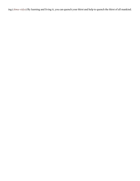ing (*[Atma-vidya](#page-55-1)*) By learning and living it, you can quench your thirst and help to quench the thirst of all mankind.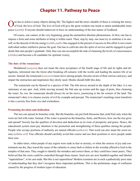## **Chapter 11. Pathway to Peace**

<span id="page-34-0"></span>One has to achieve many objects during life. The highest and the most valuable of these is winning the mercy of God, the love of God. The love of God will give the great wisdom one needs to attain unshakeable inner peace (*[santhi](#page-62-9)*). Everyone should endeavour to have an understanding of the true nature of Godhead.

Of course, one cannot, at the very beginning, grasp the unmanifest absolute phenomenon. At first, one has to impose a form and some attributes to bring it within reach. Then, step by step, one must try to enshrine it in oneself, as the descent of divine energy (*[sakthi-path](#page-61-14)*). One engaged in the pursuit of success in this effort is not a mere individual seeker entitled to pursue the goal. One has to cultivate also the spirit of service and be engaged in good deeds that earn people's gratitude. Only thus can one accomplish the task of cleansing the levels of consciousness (*[chittha](#page-57-10)*) and become a fit candidate for spiritual victory.

#### **The duty of the renunciant**

Monkhood (*[sanyasa](#page-62-13)*) does not mean the mere acceptance of the fourth stage of life and its rights and obligations, retirement into the forest after breaking off contacts with the world, and leading the austere life of an ascetic. Instead, the renunciant (*[sanyasin](#page-62-14)*) must move among people, become aware of their sorrows and joys, and impart the instruction and inspiration they direly need. Monks should fulfil this duty.

The renunciant can be likened to a species of fish. The fish moves around in the depth of the lake; it is not stationary at one spot. And, while moving around, the fish eats up worms and the eggs of pests, thus cleansing the water. So, too, the renunciant should always be on the move, journeying to the far corners of the land. The renunciant's duty is to cleanse society of evil by example and precept. The renunciant's teachings must transform it into a society free from vice and wickedness.

#### **Promoting devotion and dedication**

The tree can spread its branches wide. But the branches can put forth blossoms that yield fruit only when the roots are fed with water. Instead, if the water is poured on the branches, fruits, and flowers, how can the tree grow and spread? Society has the qualities of devotion and dedication as its roots of prosperity and peace. Hence, the educational system must pay attention to the promotion and strengthening of these qualities among the people. People who occupy positions of authority are named officials (*[adikaris](#page-55-12)*). That word can also mean the worst enemy (*[adhika-ari](#page-55-13)*)! True officials should carefully avoid that course and use their positions to serve people under their care.

In olden times, when people of any region were sunk in fear or anxiety, or when the sources of joy and contentment ran dry, they traced the cause of the calamity to some fault or failure in the worship offered to God in the temples of that area. They sought to identify the mistakes and correct them, so they could have inner peace. They believed that the crisis could be controlled through these means. Such acts are now bundled together and labeled "superstitions", to be cast aside. But this is not superstition! Modern scientists are in such a pathetically poor state of understanding that they don't recognise these important problems. This is the preliminary stage of confusion caused by the progress of modern types of education.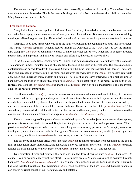<span id="page-35-0"></span>The ancients grasped the supreme truth only after personally experiencing its validity. The moderns, however, dismiss their discoveries. This is the reason for the growth of barbarism in the so-called civilised countries. Many have not recognised this fact.

#### **Three kinds of happiness**

Every living being craves happiness; it doesn't long for misery. Some desire riches, some believe that gold can make them happy, some amass articles of luxury, some collect vehicles. But everyone is set upon obtaining the things believed to give them joy. Those who know wherefrom one can get happiness are very few in number.

Happiness is of three kinds. One type is of the nature of poison in the beginning but turns into nectar later. This is pure (*[sathwic](#page-62-10)*) happiness, which is secured through the awareness of the *[Atma](#page-55-3)*. That is to say, the preliminary discipline (*[sadhana](#page-61-13)*) of equanimity, control of inner and outer senses, etc., which has to be gone through, appears hard and unpleasant and involves struggle and effort. So, the reaction may be bitter.

In the *[Yoga-vasishta](#page-64-5)*, Sage [Vasishta](#page-64-6) says, "O! [Rama!](#page-61-12) The boundless ocean can be drunk dry with great ease. The enormous Sumeru mountain can be plucked from the face of the earth with great ease. The flames of a huge conflagration can be swallowed with great ease. Controlling the mind is far more difficult than these." Therefore, when one succeeds in overwhelming the mind, one achieves the awareness of the *[Atma](#page-55-3)*. This success can result only when one undergoes many ordeals and denials. The bliss that one earns afterward is the highest kind of happiness. As the fruition of all spiritual discipline (*[sadhana](#page-61-13)*), one is established in the perfect equanimity of unruffled consciousness (*[nirvikalpa-samadhi](#page-60-14)*) and the bliss (*[ananda](#page-55-6)*) that fills one is indescribable. It is ambrosial, equal to the nectar of immortality.

Undifferentiated (*[nir-vikalpa](#page-60-15)*) means the state of consciousness in which one is devoid of thought. This state can be reached through appropriate discipline. It is of two natures: Non-dual in full experience and the state of non-duality when dual thought ends. The first takes one beyond the triune of knower, the known, and knowledge; and one is aware only of the cosmic intelligence of [Brahman](#page-56-8). This is the non-dual state (*adwaitha-bhavana*). The second stage is reached when all the attributes ascribed to God and humanity merge in the ONE that embraces the cosmos and all its contents. (This second stage is *[adwaitha-sthayi](#page-55-14)* or *[adwaitha-avastha](#page-55-15)*.)

There is a second type of happiness: On account of the impact of external objects on the senses of perception, pleasure mistaken as nectarine is aroused. But, in time, the pleasure turns into bitter and unpleasant poison. This is passionate (*[rajasic](#page-61-15)*) happiness. When one welcomes this passionate sensory pleasure, one's strength, awareness, intelligence, and enthusiasm to reach the four goals of human endeavour —*[dharma](#page-57-6)*, wealth (*[artha](#page-55-16)*), righteous desire (*[kama](#page-58-13)*), and liberation (*[moksha](#page-59-7)*)— become weak, because one's interest declines.

The third type of happiness arises from ignorance (*thamas*). It dulls the intellect from beginning to the end. It finds satisfaction in sleep, slothfulness, and faults, and it derives happiness therefrom. The dull (*thamasic*) person ignores the path that leads to the awareness of the *[Atma](#page-55-3)* and pays no attention to it throughout life.

True education directs and counsels the mind and intellect toward earning pure (*[sathwic](#page-62-10)*) happiness. Of course, it can be secured only by untiring effort. The scriptures declare, "Happiness cannot be acquired through happiness (*Na sukhaath labhyathe sukham*)." Only by undergoing unhappiness can happiness be won. This truth has to be instilled through spiritual education (*vidya*). When one knows of the bliss (*[ananda](#page-55-6)*) that pure happiness can confer, spiritual education will be found easy and palatable.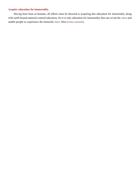#### <span id="page-36-0"></span>**Acquire education for immortality**

Having been born as humans, all efforts must be directed to acquiring this education for immortality along with earth-bound material-centred education, for it is only education for immortality that can reveal the *[Atma](#page-55-3)* and enable people to experience the immortal *[Atmic](#page-56-2)* bliss (*[Atma-ananda](#page-55-17)*).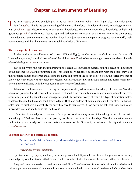## **Chapter 12. Instruments of Learning**

<span id="page-37-0"></span>The term vidya is derived by adding ya to the root vidh. Ya means 'what'; vidh, 'light'. So, "that which gives light" is vidya. This is the basic meaning of the word. Therefore, it is evident that only knowledge of [Brah](#page-56-8)[man](#page-56-8) (*[Brahma-vidya](#page-56-0)*) deserves to be known as real knowledge. The ancients considered knowledge as light and ignorance (*[a-vidya](#page-56-7)*) as darkness. Just as light and darkness cannot coexist at the same time in the same place, knowledge and ignorance cannot be together. So, all who journey along the path of progress have to purify their consciousness and illumine themselves through knowledge of [Brahman.](#page-56-8)

#### **The two aspects of education**

In the section on manifestation of power (*Vibhuthi Yoga*), the *[Gita](#page-57-1)* says that God declares, "Among all knowledge systems, I am the knowledge of the highest *[Atma](#page-55-3)*!" All other knowledge systems are rivers; knowledge of the highest *[Atma](#page-55-3)* is the ocean.

Just as all rivers find fulfilment merging in the ocean, all knowledge systems join the ocean of knowledge of the supreme *[Atma](#page-55-3)* as their ultimate goal. This is not all. When rivers meet and mix with the ocean, they lose their separate names and forms and assume the name and form of the ocean itself. So too, the varied systems of knowledge concerned with the objective external world renounce their individual names and forms when they arrive at the confluence with the vast ocean of knowledge of [Brahman](#page-56-8).

Education can be considered as having two aspects: worldly education and knowledge of [Brahman](#page-56-8). Worldly education provides the wherewithal for human livelihood. One can study many subjects, earn valuable degrees, acquire higher and higher jobs, and manage to spend life withiout worry ot fear. This type of education helps, whatever the job. On the other hand, knowledge of [Brahman](#page-56-8) endows all human beings with the strength that enables them to discharge successfully the duty they owe to themselves. It lays down the path that leads both to joy in worldly relations and bliss in the life beyond.

 Therefore, knowledge of [Brahman](#page-56-8) is far superior to all other systems of knowledge available on earth. Knowledge of [Brahman](#page-56-8) has the divine potency to liberate everyone from bondage. Worldly education has no such potency. Knowledge of [Brahman](#page-56-8) makes you aware of the Omniself, the Absolute, the highest [Brahman](#page-56-8) (*[Parabrahman](#page-60-1)*).

#### **Spiritual austerity and spiritual education**

By means of spiritual learning and austerities (practices), one is transformed into a purified soul.

#### *Vidya thapobhyaam puthatma*.

Spiritual austerity (*tapas*) enables you to merge with That. Spiritual education is the process of acquiring knowledge; spiritual austerity is the known. The first is indirect, it is the means; the second is the goal, the end.

Soap and water are needed to wash accumulated dirt off one's clothes. So too, both spiritual knowledge and spiritual penance are essential when one is anxious to remove the dirt that has stuck to the mind. Only when both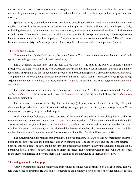<span id="page-38-0"></span>are used can the levels of consciousness be thoroughly cleansed. No vehicle can move without two wheels, nor can a bird fly on one wing. So too, no one can be rendered holy or purified without spiritual learning and spiritual austerity.

Spiritual austerity (*tapas*) does not mean positioning oneself upside down, head on the ground and feet held up, like a bat. Nor is it the renunciation of possessions and properties, wife and children, or emaciating one's body, or holding the nose to regulate breath. No. Physical actions, oral assertions, and mental resolves —all three have to be in unison. The thought, speech, and act all have to be pure. This is real spiritual austerity. Moreover, the three have to be coordinated not by the compulsion of duty but instead for the contentment of the self. The effort must be undertaken to satisfy one's inner yearnings. This struggle is the essence of spiritual penance (*tapas*).

#### **The guru and the pupil**

*[Guru](#page-57-0)* means literally the "big" person, the "great" person. That is to say, the *[guru](#page-57-0)* must have mastered both spiritual knowledge (*vidya*) and spiritual austerity (*tapas*).

The *[Gita](#page-57-1)* depicts the ideal *[guru](#page-57-0)* and the ideal student (*sishya*) —the pupil is the person of authority and the preceptor is the manifestation of the *[Avatar](#page-56-10)*. [Arjuna](#page-55-2) had earned the right to learn; [Krishna](#page-58-0) had come as a man to teach man. The pupil is the best of people; the preceptor is the best among physical embodiments (*[purushothama](#page-61-5)*). The pupil wields the bow; the *[guru](#page-57-0)* wields the secret of all skills, *yoga*. [Krishna](#page-58-0) is the Lord of *yoga* (*yogeswara*); [Arjuna](#page-55-2) is the archer. When these two meet, education (*vidya*) is transformed into knowledge of [Brahman](#page-56-8) (*[Brah](#page-56-0)[ma-vidya](#page-56-0)*).

The pupil, [Arjuna](#page-55-2), after imbibing the teachings of [Krishna,](#page-58-0) said, "I will do as you command (*Karishye vachanam thava*)." He threw away not his bow, the *[Gandiva](#page-57-14)*, but his great big ego itself, the egotism (*[ahamkara](#page-55-18)*) that was deluding him.

The *[guru](#page-57-0)* was the director of the play. The pupil (*sishya*), [Arjuna](#page-55-2), was the character in the play. The pupil should not be proud to have been entrusted with a duty. As long as you are conceited, you cannot get a *[guru](#page-57-0)*. When the *[guru](#page-57-0)* accepts you, your pride will disappear.

Pupils should not feel great, be proud, or boast of the sense of renunciation when giving their all. The real renunciation is to give oneself away. Then, the *[guru](#page-57-0)* will grant freedom to follow one's own will, as [Krishna](#page-58-0) did. "Beloved [Arjuna!](#page-55-2) As you will, so you act (*Yathechchasi, thathaa kuru*). Think well. And do as you like," [Krishna](#page-58-0)  told him. He meant that He had given him all the advice he needed and had also accepted the ego [Arjuna](#page-55-2) had discarded. So, [Arjuna](#page-55-2) could now be granted freedom to act as he willed, for his will has become His.

The individual who has reached this level has to be given freedom. The *[guru](#page-57-0)* should not mercilessly order the pupil about simply because the pupil dedicated everything to him. The greedy *[guru](#page-57-0)* and the indolent disciple both fall into perdition. The *[guru](#page-57-0)* should not turn into a person who steals wealth (vittha-apahaari) but should be a person who steals hearts! The *[guru](#page-57-0)* has to be an alarm timepiece. The *[guru](#page-57-0)* must wake up those who are enveloped in the sleep of ignorance and reward them with teachings on the knowledge of their *[Atmic](#page-56-2)* Reality.

#### **The bad guru and the bad pupil**

A traveler going through the countryside from village to village was confronted by a river in spate. The waters were rising and rushing. He was helpless because he did not know how to cross to the other bank. He looked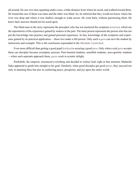all around. He saw two men squatting under a tree, a little distance from where he stood, and walked toward them. He found that one of them was lame and the other was blind. So, he inferred that they would not know where the river was deep and where it was shallow enough to wade across. He went back, without questioning them. He knew their answers should not be acted upon.

The blind man in the story represents the preceptor who has not mastered the scriptures (*[sastras](#page-62-15)*), which are the repositories of the experience gained by seekers in the past. The lame person represents the person who has not put the knowledge into practice and gained personal experience. In fact, knowledge of the scriptures and experience gained by its practical application —these two make a full person. Only such a *[guru](#page-57-0)* can save the student by instruction and example. This is the conclusion expounded in the *[Mundaka Upanishad](#page-59-15)*.

Even more difficult than getting a good pupil (*sishya*) is securing a good *[guru](#page-57-0)*. Only when a real *[guru](#page-57-0)* accepts them can disciples become exemplary persons. Pure-hearted students, unselfish students, non-egotistic students —when such aspirants approach them, *[gurus](#page-57-0)* exult in ecstatic delight.

[Parikshith,](#page-60-16) the emperor, renounced everything and decided to realise God; right at that moment, [Maharshi](#page-63-5)  [Suka](#page-63-5) appeared to guide him straight to his goal. Similarly, when good disciples get good *[gurus](#page-57-0)*, they succeed not only in attaining bliss but also in conferring peace, prosperity, and joy upon the entire world.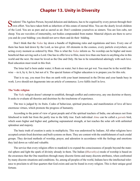## **Chapter 13. Unity in Diversity**

<span id="page-40-0"></span>Students! The Ageless Person, beyond delusion and darkness, has to be cognised by every person through their own effort. You have taken birth as inheritors of this estate of eternal bliss. You are the dearly loved children of the Lord. You are as pure and as sacred as air. Don't condemn yourselves as sinners. You are lion cubs, not sheep. You are wavelets of immortality, not bodies compounded from matter. Material objects are there to serve you and do your bidding: you should not serve them and do their bidding.

Don't think that the *[Vedas](#page-64-3)* lay down a bundle of frightening rules and regulations and laws. Every one of them has been laid down by the Lord, as law-giver. All elements in the cosmos, every particle everywhere, are acting every moment as ordered by Him. This is what the *[Vedas](#page-64-3)* inform us. No worship can be higher and more beneficial than serving such a Lord. One has to offer love to Him, more love than one bears to anything else in this world and the next. He must be loved as the One and Only. He has to be remembered adoringly with such love. Real education must result in this fruit.

The lotus leaf is born under water; it floats on water; but it does not get wet. You must be in the world likewise —in it, by it, for it, but not of it. The special feature of higher education is to prepare you for this role.

That is to say, you must live thus on earth with your heart immersed in the Divine and your hands busy in work. Love should not degenerate into an article of commerce. Love fulfils itself in love.

#### **The Vedic religion**

The *[Vedic](#page-64-2)* religion doesn't attempt to establish, through conflict and controversy, any one doctrine or theory. It seeks to evaluate all theories and doctrines by the touchstone of experience.

The tree is judged by its fruits. Codes of behaviour, spiritual practices, and manifestation of love all have enormous virtues, which promote the progress of humanity.

According to the point of view of great people and of the spiritual teachers of India, one advances not from falsehood to truth but from the partly true to the fully true. Each individual *[Atma](#page-55-3)* can be called a *[garuda](#page-57-15)* bird, which soars higher and higher and, gathering supranatural strength, at last reaches the solar orb with unlimited splendour and majesty.

The basic truth of creation is unity in multiplicity. This was understood by Indians. All other religions have accepted certain fixed doctrines and built systems on them. They are content with the establishment of such credal groups. They devised methods of worship, prayer, and adoration in accordance with the feelings and emotions they laid down as valid and valuable.

The service that every religion offers to mankind is to expand the consciousness of people beyond the material sphere and light the spark of divinity already in them. The Indian (*[Bharathiya](#page-56-11)*) mode of worship is based on the awareness that the One manifests through many discrete forms and many discrete attributes, when confronted by many discrete situations and conditions. So, among all peoples of the world, Indians have the intellectual tolerance to proclaim to all four quarters that God exists and can be found in every religion. This is their unique good fortune.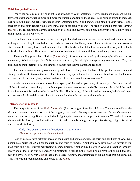#### <span id="page-41-0"></span>**Faith has guided Indians**

One of the basic rules of living is not to be ashamed of your forefathers. As you read more and more the history of the past and visualise more and more the human condition in those ages, your pride is bound to increase. Let faith in the supreme achievements of your forefathers flow in and energise the blood in your veins. Let the strength of that faith render your body, mind, and spirit equally strong. The fruit of genuine spiritual learning (*vidya*) is the recognition that every community of people and every religion has, along with a basic unity, something special of its own to offer.

In fact, no country in history has been the target of such dire calamities and has suffered under alien rule for as long as India. Despite this, Indians are ready to encounter boldly any new calamitous storm, for their lives are still more or less firmly based on the ancient ideals. This has been the stable foundation for their way of life. Faith in God is faith in *[Atma](#page-55-3)*. They believe, without any hesitation, that this faith has guided and guarded them.

These guiding principles of Indian (*[Bharathiya](#page-56-11)*) life were not restricted by the geographical boundaries of the country. Whether the people of this land desire it or not, the principles are spreading to other lands. They are transmuting their literatures by instilling their values into their thoughts and feelings.

The natural sciences can provide us only with food, clothing, and the like. Only spiritual science can add strength and steadfastness to the self. Students should pay special attention to this fact. What use are food, clothing, and the like, even in plenty, when one has no strength or steadfastness in oneself?

Again, when you want to promote the prosperity of the nation, you must, of necessity, gather into yourself all the spiritual resources that you can. In the past, the need was known, and efforts were made to fulfil the need; in the future too, this need must be felt and fulfilled. That is to say, all the spiritual inclinations, beliefs, and urges that are now feeble and dissipated have to be united and reinforced, one with the others.

#### **Tolerance for all religions**

The unique features of the *[Vedic](#page-64-2) [Bharathiya](#page-56-11)* (Indian) religion form its solid base. They are as wide as the sky and as eternal as nature. As part of the religion, creeds and cults may exist as branches of a tree. One need not condemn them as wrong. But no branch should fight against another or compete with another. When that happens, the tree will be destroyed and all will end in ruin. When creeds indulge in competitive rivalry, religion is ruined and the world is destroyed.

#### Only One exists; the wise describe it in many ways. *Ekam sath; vipraah bahudhaa vadhanthi.*

Each of us may have different ideas on the nature and characteristics, the form and attributes of God. One person may believe that God has the qualities and form of humans. Another may believe in a God devoid of human form and signs, but yet manifesting in embodiments. Another may believe in God as altogether formless. Every one of these can find declarations supporting their stands in the *[Vedas](#page-64-3)*. For, all have faith in God, that is to say, in a mysterious power (*[sakthi](#page-61-10)*) that is the source, support, and sustenance of all, a power that subsumes all. This is the truth proclaimed and elaborated in the *[Vedas](#page-64-3)*.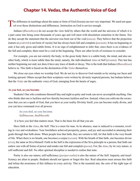## **Chapter 14. Vedas, the Authentic Voice of God**

<span id="page-42-0"></span>The difference in teachings about the name or form of God [\(Iswara](#page-58-7)) are not very important. We need not quar-**L** rel over those distinctions and differences. Instruction on God is service enough.

Indians (*[Bharathiyas](#page-56-11)*) do not accept the view held by others that the world and the universe of which it is a part came into being some thousands of years ago and will meet with dissolution sometime in the future. Nor do they accept the statement that the universe was born out of the void (*sunya*). They believe that the projection (nature or *[prakriti](#page-60-17)*) is not born of vacuity but has always been full and complete (*[purnam](#page-61-3)*). It has no beginning or end; it has only gross and subtle forms. It is no sign of enlightenment to infer that, since there is no evidence of the full and complete, there must be a void in the beginning. There are other levels of existence to consider.

For example, you are not entirely the body; in the gross body there is a subtle body, the mind, and also another body, which is more subtle than the mind, namely, the individualised *[Atma](#page-55-3)* or Self (*[jivatma](#page-58-14)*). This last has neither beginning nor end; nor does it have any trace of death or decay. This is the truth that Indians (*[Bharathiyas](#page-56-11)*) believe in. This faith is based on the declaration of the *[Vedas](#page-64-3)* themselves.

We close our eyes when we worship God. We do not try to discover God outside us by raising our faces and looking upward. Others accept that their scriptures were written by divinely inspired persons, but Indians believe that the *[Vedas](#page-64-3)* are the authentic voice of God, emerging from the hearts of sages.

#### **As you feel, so you become**

Students! One who condemns themself day and night as petty and weak can never accomplish anything. One who thinks that one is luckless and low thereby becomes luckless and low. Instead, when you cultivate the awareness that you are a spark of God, that you have as your reality Divinity Itself, you can become really divine, and you can have command over all powers.

#### As you feel, so you become. *Yadbhaavam, thadbhavathi.*

It is how you feel that matters most. That is the basis for all that you are.

Have faith in the *[Atma](#page-55-3)*, the Self. This is a must for man. In its absence, man is reduced to a monster, reveling in vice and wickedness. Your forefathers achieved prosperity, peace, and joy and succeeded in attaining their goals through that faith alone. When people lose that faith, they are certain to fall, for that faith is the very breath of life. When there is no breath, one becomes a corpse (*[savam](#page-62-16)*). With the breath of that faith, one becomes divine (*siva*), the same as [Siva](#page-62-6) Himself. Faith in the Self is the expression of the [Siva](#page-62-6) principle in a person; that faith can endow one with all forms of power and render one full and complete (*[purna](#page-61-3)*). For, the *[Atma](#page-55-3)*, by its very nature, is self-sufficient and full. No other spiritual discipline is needed to realise that state.

Purity is also our nature; self-sufficiency (*[paripur-natha](#page-60-18)*) is also the nature of the Self. Impurity and insufficiency are alien to people. Students should not ignore or forget this fact. Real education must arouse this faith and infuse the awareness of this fullness in every activity. This is the essential aim, the core of the right type of education.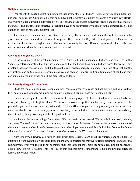#### <span id="page-43-0"></span>**Religion means experience**

One other truth has to be kept in mind, more than every other. For Indians (*[Bharathiyas](#page-56-11)*), religion means experience, nothing less. Our position is that no achievement is worthwhile unless one earns it by one's own efforts. Everything valuable must be cultivated by oneself. Divine grace awaits individual striving and spiritual practice (*[sadhana](#page-61-13)*). The doctrines and directives of religion have to be assimilated by means of actual experience. It is not enough to learn to repeat them parrot-like.

The truth has to be identified; this is the very first step. The sooner we understand the truth, the sooner religious conflicts and credal dissensions will disappear. The Beyond the Beyond (*[Paraath-para](#page-60-19)*), the Omniself, is nearer than the nearest; though near, all other entities are really far away. Become aware of this fact. Only then can the knots in which the heart is entangled be loosened.

#### **Give up life or give up body?**

In the vocabulary of the West, a person gives up "life", but in the language of Indians, a person gives up the "body". Westerners profess that they have bodies and that the bodies have souls. Indians don't declare so. They proclaim that a person has a soul and that the soul is enclosed temporarily in a body. Therefore, they feel that the civilisations and cultures seeking sensual pleasures and secular glory are built on a foundation of sand, and they can shine only for a brief period of time before they collapse.

#### **Imbibe only the good from others**

Students! Imitation can never become culture. You may wear royal robes and act the role, but as a result of this imitation, can you become a king? A donkey clothed in tiger skin does not become a tiger.

Imitation is a sign of cowardice. It cannot further one's progress. In fact the tendency to imitate leads one down, step by step, into frightful shape. You must endeavour to uplift yourselves, as yourselves. You must be proud that you are Indians (*[Bharathiyas](#page-56-11)*), children of India (Bharath), you must be proud of your ancestors. Your commendable heroism lies in your joyous assertion that you are an Indian. You should not imitate others and copy their attitudes, though you may imbibe the good in them.

We have to learn good things from others. We sow seeds in the ground. We provide it with soil, manure, and water. The seed sprouts, becomes a sapling, and grows into a huge tree. It does not become soil when placed therein, nor manure when it feeds thereon, nor water when it partakes thereof. It only imbibes from each of them whatever it can benefit from them. It grows into what is essentially IT, namely, a huge tree!

May you grow likewise. You have to learn much from others. Learn about the Supreme and the means of attaining it from even the lowest; learn from others how to practise progressive spiritual discipline (*[sadhana](#page-61-13)*) and saturate yourselves with it. But do not be transformed into those others. This is the normal teaching for people, the code of law (*smrithi*) of [Manu](#page-59-16). This is the lesson that students have to understand. This is the first and foremost lesson, the crucial lesson.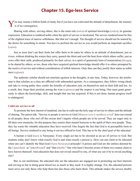## **Chapter 15. Ego-less Service**

<span id="page-44-0"></span>You may master a billion fields of study, but if you have not cultivated the attitude of detachment, the mastery I is of no consequence.

Sharing with others, serving others, this is the main rule (*sutra*) of spiritual knowledge (*vidya*), its genuine expression. Education is rendered noble when the spirit of service is inculcated. The service rendered must be free of the slightest trace of narrow selfishness. But that isn't enough. The thought of service should not be marred by the desire for something in return. You have to perform the service as you would perform an important sacrifice (*yajna*).

Just as trees don't eat their fruits but offer them to be eaten by others in an attitude of detachment; just as rivers, without drinking the waters they carry, quench the thirst and cool the heat from which others suffer; just as cows offer their milk, produced primarily for their calves, in a spirit of generosity born of renunciation (*thyaga*), to be shared by others; so too, those who have acquired spiritual knowledge should offer it to others prompted by the motive of service and without consideration of selfish interests. Only thus can they justify their status as noble men (*[sajjana](#page-61-16)*).

The authentic scholar should not entertain egotism in the thoughts, at any time. Today, however, the misfortune is that scholars as a class are afflicted with unbounded egotism. As a consequence, they follow wrong ideals and take to wrong paths; they confer the benefits of education only on themselves and on their kith and kin. As a result, they forgo their position among the wise (*[sajjanas](#page-61-16)*) and the respect it can bring. One must grant generously to others the knowledge, skill, and insight that one has acquired. If this is not done, human progress itself is endangered.

#### **Cultivate service to all**

To promote the best interest of mankind, one has to cultivate the holy urge of service to others and the attitude of sharing. The parrot talk, "Service to people is service to God (*Manava seva is madhava seva*)" does not extend to all people; those who reel off this axiom don't inquire which people are to be served. They are eager only to fill their own stomachs; for this purpose they restrict their mental horizons to the uplift of their own people. Thus, they lay waste the valuable education they have received. One forgets the fact that God is in perceptible form in all beings. Service rendered to any being is service offered to God. This has to be the chief goal of the educated.

A human is God (*[nara](#page-59-17)* is [Narayana](#page-59-4)). Every single act has to be elevated as an act of service to God. But students today don't know what exactly God is and what exactly a person is. How can one claim to be educated when one can't identify the Man-God (*[Nara](#page-59-17)*-*[Narayana](#page-59-4)*) principle? A person and God are the entities denoted by the *[Upanishads](#page-63-1)* as "you (*thwam*)" and "that (*[thath](#page-63-6)*)." One who hasn't become aware of these two cannot claim to have known themself. And education that does not reveal oneself to one, of what use can it be to reveal anything else?

But, to our misfortune, the educated who are the educators are engaged not in promoting our best interests and serving us but in doing great disservice as much as they need. It is highly strange. For, the educated persons must serve not only those who help them but also those who harm them. This attitude makes the service doubly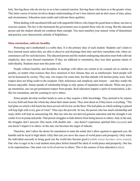<span id="page-45-0"></span>holy. Serving those who do service to us is but a natural reaction. Serving those who harm us is the greater virtue. This latter course of action involves deeper understanding of one's best interest and an alert sense of time, place, and circumstance. Education must confer and cultivate these qualities.

When dealing with uncultured folk and with ungrateful fellows who forget the good done to them, one has to exercise caution. The law is the instrument the government uses to punish those who do wrong. But the educated person and the student should not condemn them outright. You must manifest your natural virtue of detachment and practise your characteristic attitude of helpfulness.

#### **Shun ostentation; cultivate humility**

Protecting one's motherland is a noble duty. It is the primary duty of each student. Students can't claim to have learned much unless they are able to discover and discharge their duty and their immediate role, when circumstances call for such decisions. The educated person and the student undergoing education must both cultivate simplicity; they must discard ostentation. If they are addicted to ostentation, they lose their genuine nature or individuality. Students must note this point well.

People without humility and discipline in dealings with others are certain to be counted out as scholar or pundits, no matter what sciences they have mastered or how famous they are as intellectuals. Such people will not be honoured by society. They may win respect for some time, but that attitude will decline pretty soon. Such respect does not bring credit to the recipient. Only artlessness and simplicity earn honour —and they render the honour enjoyable. Insane parade of scholarship brings in only spurts of reputation and ridicule. When one gives up ostentation, one can get permanent respect from people. Real education imparts a spirit of renunciation, a dislike for ostentation, and the yearning to serve others.

Some people develop swollen heads as soon as they acquire a little knowledge. They pretend to be experts in every field and boast the whole day about their attain-ments. They strut about as if they know everything. "The leaf-plate on which a full lunch has been served will lie low on the floor. The leaf-plate on which nothing is placed will hop high with every gust of wind." Thus says the proverb. So too, the person who has much scholarship and many skills will lead an unassuming life. But one who has not derived genuine education and the strength it can confer lives in pomp and pride. That person struggles to hide defects from being known to others. And, in the end, the struggles don't succeed. One meets with double ruin —one doesn't experience spiritual bliss (*[ananda](#page-55-6)*) and one doesn't impart it to others. In the end, one becomes the target of ridicule.

Therefore, don't allow the desire for ostentation to enter the mind; don't allow egotism to approach you. Be humble and be loyal to high ideals. Only then can you serve the cause of world peace and prosperity. Only when the individual succeeds in being good can the world also become good (*vyakthi sreyas becomes viswa srayas*). One who is eager to be a real student must place before himself the ideal of world peace and prosperity. One has to be unpretentious. One must vow to be of service to others. This is the essence of true education (*vidya*).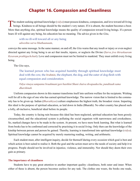## **Chapter 16. Compassion and Cleanliness**

<span id="page-46-0"></span>The student seeking spiritual knowledge (vidya) must possess kindness, compassion, and love toward all living<br>beings. Kindness to all beings should be the student's very nature. If it is absent, the student becomes a boor. More than anything else, spiritual knowledge means the quality of compassion toward living beings. If a person bears ill will against any being, his education has no meaning. The advice given in the *[Gita](#page-57-1)*,

with no ill-will toward all or any being *adweshta sarva bhuthaanaam*,

conveys the same message. In the same manner, on and off, the *[Gita](#page-57-1)* warns that any insult or injury or even neglect directed against any living being is an act that insults, injures, or neglects the Divine (*Sarva jiva thiraskaaram Kesavam prathigachchati*). Love and compassion must not be limited to mankind. They must enfold every living being.

The *[Gita](#page-57-1)* says,

The learned person who has acquired humility through spiritual knowledge must deal with the cow, the *[brahmin](#page-56-9)*, the elephant, the dog, and the eater of dog-flesh with equal compassion and consideration.

*Vidya vinaya sampanne braahmani gavi hasthini Shuni chaiva shvapaakecha, punditaah sama dharshinah.*

Uniform compassion shown in this manner transforms itself into uniform welfare for the recipients. Wishing well for all is the sign of one who has earned spiritual knowledge. The narrow vision that is limited to the community has to be given up. Indian (*[Bharathiyas](#page-56-11)*) culture emphasises the highest truth, the broadest vision. Imparting this ideal is the purpose of spiritual education, as laid down in India (Bharath). No other country has placed such a lofty, all-inclusive, beneficial ideal before its people.

Today, the country is facing ruin because this ideal has been neglected, spiritual education has been grossly circumscribed, and the educational system is polluting the social organism with narrowness and crookedness. So, marked changes have to be made in the system. At present, we have mere book learning. But what is learned from books has to be confirmed and corrected by practising it in social living. Only then can the knowledge of the kinship between person and person be gained. Thereby, learning is transformed into spiritual knowledge (*vidya*). Spiritual knowledge cannot be acquired by merely mastering reading, writing, and arithmetic.

Each student must, after intelligent inquiry, decide for themself during every occasion which goal is best and which action is best suited to realise it. Both the goal and the action must serve the needs of society and help it to progress. People should not be involved in injustice, violence, and immorality. Nor should they deem their own gain as primary.

#### **The importance of cleanliness**

Students have to pay great attention to another important quality: cleanliness, both outer and inner. When either of these is absent, the person becomes useless for any task. The clothes one wears, the books one reads,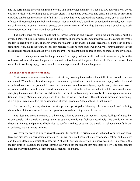<span id="page-47-0"></span>and the surrounding environment must be clean. This is the outer cleanliness. That is to say, every material object one has to deal with for living has to be kept clean. The teeth and eyes, food and drink, all should be free from dirt. One can be healthy as a result of all this. The body has to be scrubbed and washed every day, or else layers of dust will cause itching and boils will emerge. Not only will one's condition be rendered miserable, but it may cause infections in others. One may possess only one or two sets of clothing, but care should be taken to wash them before wearing. They should not gather dirt.

The books used for study should not be thrown about as one pleases. Scribbling on the pages must be avoided. Paper should be preserved clean and spotless. Those who see them must appreciate the care taken by the student to keep things clean. The room where the student resides and the adjacent area must be kept clean and free from stink. And, inside the room, no indecent pictures should be hung on the walls. Only pictures that inspire great thoughts and high ideals should be visible to the eye. The student must be able to draw on themself the love of all.

However rich a person may be, the person can't be happy without health and can't derive full joy from the riches owned. A meal makes the person exhausted; without a meal, the person feels weak. Thus, the person plods on without ever being happy. So, external cleanliness promotes health and happiness.

#### **The importance of inner cleanliness**

Next, we consider inner cleanliness —that is to say, keeping the mind and the intellect free from dirt, serene and sacred. When thoughts and feelings are impure and agitated, one cannot be calm and happy. When the mind is polluted, reactions are polluted. To keep the mind clean, one has to analyse sympathetically situations involving others and their activities, and then decide on how to react to them. One should not rush to draw conclusions. Adopting the reactions of others is not desirable. One must resolve on any action only after intelligent discrimination and inquiry. "Some of our people are doing this, so we will do it too." This attitude is mean and demeaning, it is a sign of weakness. It is the consequence of basic ignorance. Sheep behave in that manner.

Born as people, moving about as educated persons, yet stupidly following others as sheep do and polluting the minds with ideas borrowed from the lips of others —these things are to be avoided.

The ideas and pronouncements of others may often be personal, or they may induce feelings of hatred between people. Why should we accept them as ours and mould our feelings accordingly? We should not try to shape our feelings and patterns of behaviour to conform to those of others. We should not relinquish our faith, our experience, and our innate holiness.

We may not always be able to know the reasons for our faith. It originates and is shaped by our own personal likes and dislikes, our own dominant feelings. But we must not become the target for anger, hatred, and jealousy and the evil deeds into which they lead us. A student must cultivate wide, inclusive feelings. Only then is the student entitled to acquire the higher learning. Only then can the student earn respect in society. The student must keep far away from narrow, selfish thoughts, feelings, and plans.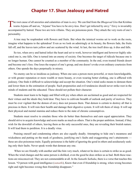## **Chapter 17. Shun Jealousy and Hatred**

<span id="page-48-0"></span>The root cause of all anxieties and calamities of man is envy. We can find from the *[Bhagavad Gita](#page-56-5)* that Krishna<br>warns Arjuna off and on, "Arjuna! You have to be envy-less. Don't get infected by envy." Envy is invariably accompanied by hatred. These two are twin villains. They are poisonous pests. They attack the very roots of one's personality.

A tree may be resplendent with flowers and fruits. But when the inimical worms set to work on the roots, imagine what happens to the splendour! Even as we look on admiringly at its beauty, the flowers fade, the fruits fall off, and the leaves turn yellow and are scattered by the wind. At last, the tree itself dries up, it dies and falls.

So too, when envy and hatred infect the heart and set to work, however intelligent and however highly educated one is, one falls. One is turned into an enemy of society. One becomes the target of ridicule because one is no longer human. One cannot be counted as a member of the community. In the end, even trusted friends desert and become one's foes. One loses the respect of one's group, and one doesn't evoke even ordinary courtesies from others. One spends the days perpetually in misery.

No enemy can be so insidious as jealousy. When one sees a person more powerful, or more knowledgeable, or with greater reputation or more wealth or more beauty, or even wearing better clothing, one is afflicted with jealousy. One finds it difficult to acknowledge and accept the situation. One's mind seeks means to demean them and lower them in the estimation of people. Such propensities and evil tendencies should never strike root in the minds of students and the educated. These should not pollute their character.

Students must learn to be happy and filled with joy when others are acclaimed as good and are respected for their virtues and the ideals they hold dear. They have to cultivate breadth of outlook and purity of motives. They must be ever vigilant that the demon of envy does not possess them. That demon is certain to destroy all that is precious in them. It will ruin their health and damage their digestive system. It will rob them of sleep. It will sap their physical and mental stamina and reduce them to the state of chronic consumptives.

Students must resolve to emulate those who do better than themselves and earn equal appreciation. They should strive to acquire knowledge and score marks as much as others. That is the proper ambition. Instead, if they wish for the downfall of others, leaving them as the only successful ones, they are revealing their brutish nature. It will lead them to perdition. It is a deadly virus.

Praising oneself and condemning others are also equally deadly. Attempting to hide one's meanness and wickedness and putting on the mask of goodness, justifying one's faults and exaggerating one's attainments these are also poisonous traits. Equally poisonous is the habit of ignoring the good in others and assiduously seeking only their faults. Never speak words that demean any one.

When we are friendly with another and like him very much, whatever he does is certain to strike us as good. When the wind changes and the same person is disliked, even the good he does strikes us as bad. Both these reactions are misconceived. They are not commendable at all. In the *[Sumathi Sathaka](#page-63-7)*, there is a verse that teaches this lesson. "O person with good intelligence (*sumathi*), Know that even if friendship is strong, when wrong becomes right and right becomes wrong then friendship disappears."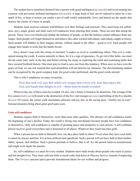<span id="page-49-0"></span>The student has to transform themself into a person with good intelligence (a *sumathi*) and avoid turning into a person with perverted, polluted intelligence (*[durmathi](#page-57-16)*). A huge heap of fuel can be reduced to ashes by a tiny spark of fire. A drop of poison can render a pot of milk totally undrinkable. Envy and hatred are the sparks that destroy the cluster of virtues in people.

Students must exercise constant watchfulness over their feelings and reactions. They must keep out selfishness, envy, anger, greed, and other such evil tendencies from entering their minds. These are nets that entrap the person. These vices overwhelm and subdue the holiness of people, so that the holiness cannot influence them any longer. Such people will forget themselves and behave like other wicked individuals, individuals caught in frenzy. Such people will blabber as their tongues dictate, without regard to the effect —good or evil. Such people will engage their hands in work that the hands favour.

Envy doesn't stop with this string of mischief. It makes us revel in scandalising others. This evil is widespread among the youth. It comes naturally to them, for it is a sign of ignorance. To get rid of this habit, one must devote some time, early in the day and before retiring for sleep, in exploring the mind and examining faults that have secured foothold therein. One must pray to God to save one from this tendency. When once we have won the grace of God, we can rest assured that such absurdities will not deform our character. The discriminating student can be recognised by the good company kept, the good works performed, and the good words uttered.

This is why I emphasise on many occasions,

Eyes that seek evil, ears that relish evil, tongue that craves evil, nose that enjoys the foul, and hands that delight in evil —these must be totally avoided.

Whoever has any of these must be avoided. Or else, one's future is bound to be disastrous. The wrongs of the five senses (*[indriyas](#page-58-15)*) will result in the destruction of the five vital energies (*[pranas](#page-60-20)*) and killing of the five sheaths (*[kosas](#page-58-16)*). Of course, the senses yield momentary pleasure and joy, but, as the saying goes, "senility lies in wait." Sensual pleasures bring about great grief quite soon.

#### **Gain self-confidence**

Students require faith in themselves, more than most other qualities. The absence of self-confidence marks the beginning of one's decline. Today, the world is facing ruin and disaster because people have lost confidence in themselves. Only self-confidence is capable of granting peace and prosperity to each person. A self-confident person receives good everywhere and is honoured in all places. Whatever they touch becomes gold.

When a person has no faith in themself, how can they place faith in others? Even when they have such faith, it cannot be sincere and firm. It is at best artificial and superficial. Such a person will not have faith in their mother, father, spouse, and children. Such a person pretends to believe, that is all. So, the person behaves treacherously and might even injure the parents.

So, self-confidence is a must for every student. Students must study books about people who stuck to justice and led straight lives. They must cultivate faith in moral codes laid down in *[Dharma Sastras](#page-57-17)*, instead of neglecting them. The *[Puranas](#page-60-21)* (ancient epics) provide foundational ideals for our welfare and progress.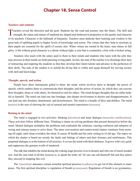## **Chapter 18. Sense Control**

#### <span id="page-50-0"></span>**Teachers and students**

Teachers reveal the direction and the goal. Students lay the road and journey into the future. The skill and I strength, the status and stature of mankind are shaped and furthered in proportion to the quality and character of its teachers. Character is the hallmark of humanity. Teachers must dedicate their learning and wisdom to the great task of uplifting pupils to higher levels of knowledge and action. The virtues that they help to inculcate in their pupils are essential for the uplift of society also. When virtues are rooted in the heart, man shines in full glory. A life without good character is a shrine without light, a coin that is counterfeit, a kite with a broken string.

Teachers who teach with the salary paid to them in their minds and students who learn with the jobs they may procure in their minds are both pursuing wrong paths. In fact, the task of the teacher is to discharge their duty of instructing and inspiring the students so that they develop their latent talents and advance in the perfection of their skills. The task of the student is to unfold the divine that is within and equip themself for serving society with skill and knowledge.

#### **Thought, speech, and action**

People have three instruments gifted to them: the mind, which involves them in thought; the power of speech, which enables them to communicate their thoughts; and the power of action, by which they can execute their thoughts, alone or with others, for themselves and for others. The mind designs thoughts that are either helpful or harmful. The mind can lead one into bondage, into deeper involvement in desires and disappointments. It can lead one into freedom, detachment, and desirelessness. The mind is a bundle of likes and dislikes. The mind (*[manas](#page-59-18)*) is the seat of chewing the cud of sensual and mental experiences (*[manana](#page-59-19)*).

#### **Reining in the mind**

The mind is engaged in two activities: thinking (*[alochana](#page-55-19)*) and inner dialogue (*[manasika-sambhashana](#page-59-20)*). These activities follow different lines. Thinking is intent on solving problems that present themselves before the mind. Mental dialogue multiplies the problems and confounds the solutions, causing confusion and adoption of wrong and ruinous means to solve them. The inner conversation and controversial chatter continues from morning till night, until sleep overtakes the mind. It causes ill-health and the early setting-in of old age. The topics on which the chatter is based are mostly the faults and failings of others and their fortunes and misfortunes. This perpetual dialogue is at the bottom of all miseries. It covers the mind with thick darkness. It grows wild very quick and suppresses the genuine worth of manhood.

The talk that inhabits the mind during the waking stage persists even in dreams and robs one of much-needed rest. And the sum total of all this exercise is, to speak the truth, nil. No one can call themself full and free unless they succeed in stopping this evil.

The *[Upanishads](#page-63-1)* announce certain remedial spiritual practices (*[sadhanas](#page-61-13)*) to get rid of this obstacle to inner peace. The first spiritual discipline is regulation of breath (*[pranayama](#page-60-22)*). Regulation of breath is no gymnastics,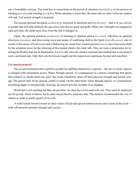<span id="page-51-0"></span>nor a formidable exercise. The mind has to concentrate on the period of retention (*[kumbhaka](#page-58-17)*), on the process of inhaling (*[puraka](#page-60-23)*) and exhaling (*[rechaka](#page-61-17)*). When attention is fixed thus, the inner talk on other irrelevant matters will end. And mental strength is acquired.

The second spiritual discipline (*[sadhana](#page-61-13)*) is: immersal in beneficial activity (*[karma](#page-58-5)*) —that is to say, service to people that will help diminish the ego sense, acts that are good and godly. When one's thoughts are engaged in such activities, the mind turns away from the talk it indulges in.

Again, the spiritual practices (*[sadhanas](#page-61-13)*) of listening to spiritual advice (*sravana*), reflection on spiritual directions (*[manana](#page-59-19)*), and discovering ways and means of confirming faith in the Spirit (*[nidi-dhyasana](#page-59-21)*), also of recital of the names of God (*[japa](#page-58-18)*) and withdrawing the mind from sensual pursuits (*tapas*), have been prescribed by the scriptures more for the silencing of this mental chatter, this inner talk. They are more a preparation for attaining the Reality than for its Realisation. For it is only when the mind is cleansed and clarified that it can achieve such a profound task. Only then can the lessons taught and the experiences undergone be pure and unsullied.

#### **Use speech properly**

The second instrument that is gifted to people for uplifting themselves is speech —the use of words. Speech is charged with tremendous power. When, through speech, we communicate to a person something that upsets their balance or shocks them into grief, the words completely drain off their physical strength and mental courage. The person falls on the ground, unable to stand. On the other hand, when, through speech, we communicate something happy or unexpectedly cheering, the person gets the strength of an elephant.

Words don't cost anything but they are priceless. So, they have to be used with care. They must be employed not for gossip, which is barren, but for pure and productive purposes only. The ancients recommended the vow of silence in order to purify speech of its evils.

 A mind turned inward toward an inner vision of God and speech turned toward outer vision of the Lord both will promote spiritual strength and success.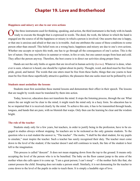## **Chapter 19. Love and Brotherhood**

#### <span id="page-52-0"></span>**Happiness and misery are due to our own actions**

Of the three instruments used for thinking, speaking, and action, the third instrument is the body with its hands ready to execute the thought that is expressed in words. The deed, the work, the labour in which the hand is engaged are the source of all the happiness or misery in which a person is involved. One asserts that one is happy, or that one is anxious and afraid or that one is in trouble. And one attributes the cause of these conditions to some person other than oneself. This belief rests on a wrong basis; happiness and misery are due to one's own actions. Whether one accepts or rejects this truth, one has to go through all the consequences of one's action. This is the law of nature. One may not believe in summer or winter, in fire or rain, but one cannot escape from heat and cold. They affect the person anyway. Therefore, the best course is to direct our activities along proper lines.

Hands are not the only limbs or agents that are involved in human activity (*[karma](#page-58-5)*). Whatever is done, whatever is seen, whatever is heard, one should be vigilant about its purity. Thought, word, and deed must be free from pride, greed, and hatred. The words that one utters must be free from these faults; things that one yearns to hear must be free from these superficially attractive qualities; the pleasures that one seeks must not be polluted by evil.

#### **Students must assimilate the lessons**

Students must first assimilate these mental lessons and demonstrate their effect in their speech. The lessons that are taught by words must be translated by them into action.

Today, however, education does not transform the mind. It stops the listening process, through the ear. What enters the ear might not be clear to the mind; it might reach the mind only in a hazy form. So education has to be so imparted that it is received clearly by the mind. To achieve this aim, it has to be transmitted through heads, tongues, and hands that are pure, with no blemish that warps. Only then can the learning be clear and the wisdom bright.

#### **The role of the teacher**

Students study only for a few years, but teachers, in order to justify being in the profession, have to be engaged in studies always without stopping. So teachers are to be reckoned as the only genuine students. To the question who is a real student the answer is, "The teacher". The motto, "I shall be the ideal student, for my pupils to emulate," must inspire the teacher. Such a teacher has surely recognised their duty. The teacher must come down to the level of the student; if the teacher doesn't and still continues to teach, the fate of the student is best left to the imagination.

This process is called "descent". It does not mean stepping down from the top to the ground. It means only accepting the level of the person who is to be benefited. The baby on the floor cannot jump to the arms of the mother when she calls upon it to come up. "I am a great person; I can't stoop" —if the mother feels like that, she cannot possess the child. Stooping does not make a person small. Similarly, it is not demeaning for the teacher to come down to the level of the pupils in order to teach them. It is simply a laudable sign of love.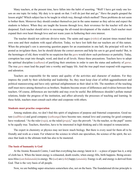<span id="page-53-0"></span>Many teachers, at the present time, have fallen into the habit of asserting. "Well! I have got ready one lesson on one topic for today. My duty is to speak on that. I will do just that and go." Have the pupils grasped the lesson aright? Which subject has to be taught in which way, through which method? These problems do not seem to bother them. Moreover they should conduct themselves just in the same manner as they advise and expect the students to behave. When they are taught the lessons through love, their reverence for the teacher will also be deepened. Each teacher should strive to encourage the all-round development of the student. Each teacher must expand their own heart through love and not waste years in furthering their own interest.

The teacher should not cultivate divisive traits. The saints and sages (*[rishis](#page-61-4)*) of ancient times treated their own sons and their students with equal affection. Today, we have lost faith that our teachers are of this nature. When the principal's son is answering question papers for an examination in one hall, the principal will not be posted as invigilator there, lest he should dictate the correct answers and help his son to get good marks! But, in the hermitages of old, there would be no suspicion that the *[guru](#page-57-0)* would show such preference or partiality. Today, corruption has crept into thought, word, and deed at all levels. Hence these precautions. Teachers have to adopt the spiritual discipline (*[sadhana](#page-61-13)*) of purifying their emotions in order to earn the status and authority of *[gurus](#page-57-0)*. The true *[guru](#page-57-0)* must lead the pupil into a worthy and happy life. And the true pupil must respond with eagerness and adoration.

Teachers are responsible for the nature and quality of the activities and character of students. For they impress the youth by their scholarship and leadership. So, they must keep clear of selfish aggrandisement and political manoeuvering and have only spiritual enlightenment as their ideal in life. The members of the teaching staff must move among themselves as brothers. Students become aware of differences and rivalries between their teachers. Of course, differences are inevitable and may even be useful. But differences shouldn't pollute mutual relations, hinder the progress of the institution, and affect adversely the processes of teaching and learning. In these fields, teachers must consult each other and cooperate with others.

#### **Students must practise cooperation**

Among students also, we don't find this spirit of singleness of purpose and fraternal cooperation. Good nature (*[sadbhava](#page-61-18)*) and good company (*[sathsanga](#page-62-17)*) have become rare; mutual love and yearning for good company have weakened. "As the ruler (*[raja](#page-61-19)*), so the ruled (*[praja](#page-60-24)*)," says the proverb. "As the teacher, so the pupil" seems to be equally true. Teachers, therefore, have to be interested in high thinking and a life steeped in renunciation.

The expert in chemistry or physics may not know much biology. But there is every need for them all to be friendly and work as a team. For whatever the science in which one specialises, the science of the spirit, the science that leads to the ultimate truth has also to be mastered.

#### **The basis of humanity is God**

At the Atomic Research Centre, I said that everything has energy latent in it —a piece of paper has it, a strip of cloth has it. When the latent energy is exhausted, death results; when energy fills, birth happens. Being-awareness-bliss (*[satchidananda](#page-4-1)*) is energy. We (*[sat](#page-62-18)*) are (*[chit](#page-57-18)*) happy (*[ananda](#page-55-6)*). Energy is all, and energy is derived from God. That is the very basis of all people.

Now, we are building super-structures somewhere else, not on the basis. The foundational divine principle is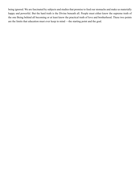being ignored. We are fascinated by subjects and studies that promise to feed our stomachs and make us materially happy and powerful. But the hard truth is the Divine beneath all. People must either know the supreme truth of the one Being behind all becoming or at least know the practical truth of love and brotherhood. These two points are the limits that education must ever keep in mind —the starting point and the goal.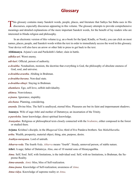## **Glossary**

<span id="page-55-0"></span>This glossary contains many Sanskrit words, people, places, and literature that Sathya Sai Baba uses in His discourses, especially discourses appearing in this volume. The glossary attempts to provide comprehensive meanings and detailed explanations of the more important Sanskrit words, for the benefit of lay readers who are interested in Hindu religion and philosophy.

In an electronic version of this volume (e.g. an e-book for the Ipad, Kindle, or Nook), you can click on most names, places, people, and Sanskrit words within the text in order to immediately access the word in this glossary. Your device will also have an arrow or other link to press to get back to the text.

<span id="page-55-22"></span>**Abhimanyu**. [Arjuna](#page-55-2)'s son and [Parikshith](#page-60-16)'s father; slain in battle.

<span id="page-55-13"></span>*adhika-ari*. Worst enemy.

<span id="page-55-12"></span>*adi-kari*. Official, person of authority.

*a-dwaitha*. Nondualism, monism, the doctrine that everything is God, the philosophy of absolute oneness of God, soul, and universe.

<span id="page-55-15"></span>*a-dwaitha-avastha*. Abiding in [Brahman](#page-56-8).

*a-dwaitha-bavana*. Non-dual state.

<span id="page-55-14"></span>*a-dwaitha-sthayi*. Staying in [Brahman.](#page-56-8)

<span id="page-55-18"></span>*ahamkara*. Ego, self-love, selfish individuality.

<span id="page-55-11"></span>*ahimsa*. Nonviolence.

<span id="page-55-10"></span>*a-jnana*. Ignorance, stupidity.

<span id="page-55-19"></span>*alochana*. Planning, considering.

<span id="page-55-6"></span>*ananda*. Divine bliss. The Self is unalloyed, eternal bliss. Pleasures are but its faint and impermanent shadows.

<span id="page-55-21"></span>**Anasuya**. Wife of sage [Athri](#page-55-20) and mother of [Dattatreya](#page-57-19); an incarnation of the Trinity.

<span id="page-55-9"></span>*a-paroksha*. Inner knowledge; direct spiritual knowledge.

<span id="page-55-5"></span>*Aranyakas*. Religious or philosophical texts closely connected with the *[brahmins](#page-56-9)*, either composed in the forest or studied there.

<span id="page-55-2"></span>**Arjuna**. [Krishna](#page-58-0)'s disciple, in the *[Bhagavad Gita](#page-56-5)*; third of five [Pandava](#page-60-25) brothers. See *[Mahabharatha](#page-59-12)*.

<span id="page-55-16"></span>*artha*. Wealth, prosperity, material object, thing, aim, purpose, desire.

<span id="page-55-8"></span>*Asathya-narayana*. Lord of untruth.

<span id="page-55-4"></span>*Atharva-veda*. The fourth *[Veda](#page-64-0)*. *Atharva* means "fourth". Steady, unmoved person, of stable nature.

<span id="page-55-20"></span>**Athri**. A sage; father of [Dattatreya.](#page-57-19) Also, one of 10 mental sons of [Hiranyagarbha.](#page-58-19)

<span id="page-55-3"></span>*Atma*. Self; Soul. Self, with limitations, is the individual soul. Self, with no limitations, is [Brahman,](#page-56-8) the Supreme Reality.

<span id="page-55-17"></span>*Atma-ananda*. *[Atmic](#page-56-2)* bliss, bliss of Self-realization.

<span id="page-55-7"></span>*Atma-jnana*. Knowledge of Self-realization; awareness of *[Atma](#page-55-3)*.

<span id="page-55-1"></span>*Atma-vidya*. Knowledge of supreme reality or *[Atma](#page-55-3)*.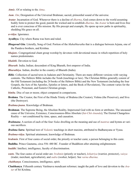<span id="page-56-2"></span>*Atmic*. Of or relating to the *[Atma](#page-55-3)*.

*Aum*. *[Om](#page-60-26)*; Designation of the Universal [Brahman;](#page-56-8) sacred, primordial sound of the universe.

<span id="page-56-10"></span>*Avatar*. Incarnation of God. Whenever there is a decline of *[dharma](#page-57-6)*, God comes down to the world assuming bodily form to protect the good, punish the wicked and re-establish *[dharma](#page-57-6)*. An *Avatar* is born and lives free and is ever conscious of His mission. By His precept and example, He opens up new paths in spirituality, shedding His grace on all.

<span id="page-56-7"></span>*a-vidya*. Ignorance.

<span id="page-56-18"></span>**Ayodhya**. City where Rama was born and ruled.

- <span id="page-56-5"></span>*Bhagavad Gita*. Literally, Song of God. Portion of the *[Mahabharatha](#page-59-12)* that is a dialogue between [Arjuna](#page-55-2), one of the [Pandava](#page-60-25) brothers, and [Krishna.](#page-58-0)
- <span id="page-56-1"></span>*bhajans*. Congregational chant group worship by devotees with devotional music in which repetition of holy names predominates.
- <span id="page-56-13"></span>*bhakthi*. Devotion to God.
- *Bharath*. India; Indian; descendent of King Bharath, first emperor of India.
- <span id="page-56-11"></span>*Bharathiya*. Indian, dweller in the country of Bharath (India).
- <span id="page-56-15"></span>*Bible*. Collection of sacred texts in Judaism and Christianity. There are many different versions with varying contents. The Hebrew Bible includes the Torah (teachings or law). The Christian Bibles generally consist of the Old Testament (including the 24 books of the Hebrew Bible) and the New Testament (including the four Gospels, the Acts of the Apostles, Epistles or letters, and the Book of Revelation), The content varies for the Catholic, Protestant, and Eastern Christian groups.
- <span id="page-56-16"></span>*bimba*. Disc of sun or moon; object compared in comparisons.
- <span id="page-56-21"></span>**Brahma**. The Creator, the First of the Hindu Trinity of Brahma (the Creator), [Vishnu](#page-64-7) (the Preserver), and [Siva](#page-62-6)  (the Destroyer).

<span id="page-56-14"></span>*Brahma-jnana*. Knowledge of [Brahman.](#page-56-8)

- <span id="page-56-8"></span>**Brahman**. The Supreme Being, the Absolute Reality, Impersonal God with no form or attributes. The uncaused cause of the Universe, Existence, Consciousness-Bliss Absolute (*[Sat-Chit-Ananda](#page-4-1)*); The Eternal Changeless Reality — not conditioned by time, space, and causation.
- <span id="page-56-3"></span>*Brahmana*. A section of each of the four *[Vedas](#page-64-3)* dwelling on the meaning and use of *[mantr](#page-59-1)as* and hymns at various sacrifices.
- <span id="page-56-4"></span>*Brahma Sutra*. Spiritual text of *[Vedantic](#page-64-8)* teachings in short maxims, attributed to Badharayana or [Vyasa.](#page-64-9)
- <span id="page-56-0"></span>*Brahma-vidya*. Spiritual attainment, knowledge of [Brahman](#page-56-8).
- <span id="page-56-9"></span>*brahmin*. First of four [castes](#page-56-17) of social order, the priestly or teacher caste; a person belonging to this [caste.](#page-56-17)
- <span id="page-56-12"></span>**Buddha**. Prince Gautama, circa 556–480 BC. Founder of Buddhism after attaining enlightenment.
- <span id="page-56-20"></span>*buddhi*. Intellect, intelligence, faculty of discrimination.
- <span id="page-56-17"></span>**caste**. The four castes of social order are: *brahmin* (priestly or teacher), *kshatriya* (warrior, protector), *vaisya* (trader, merchant, agriculturist), and *sudra* (worker, helper). See *[varna dharma](#page-56-17)*.
- <span id="page-56-6"></span>*chaithanya*. Consciousness, intelligence, spirit.
- <span id="page-56-19"></span>**Chaithanya**. Fifteenth century Vaishnava mendicant reformer; taught the path of love and devotion to the *Avatar* of Sri [Krishna.](#page-58-0)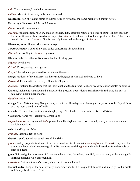<span id="page-57-18"></span>*chit*. Consciousness, knowledge, awareness.

<span id="page-57-10"></span>*chittha*. Mind stuff, memory, subconscious mind..

<span id="page-57-22"></span>**Dasaratha**. Son of Aja and father of [Rama;](#page-61-12) King of [Ayodhya;](#page-56-18) the name means "ten chariot hero".

<span id="page-57-19"></span>**Dattatreya**. Sage son of [Athri](#page-55-20) and [Anasuya](#page-55-21).

<span id="page-57-5"></span>*dhana*. Wealth, possessions.

<span id="page-57-6"></span>*dharma*. Righteousness, religion, code of conduct, duty, essential nature of a being or thing. It holds together the entire Universe. Man is exhorted to practise *dharma* to achieve material and spiritual welfare. The *[Vedas](#page-64-3)* contain the roots of *dharma*. God is naturally interested in the reign of *dharma*.

<span id="page-57-8"></span>**Dharmavyadha**. Hunter who became a sage.

<span id="page-57-17"></span>*Dharma Sastras*. Codes of law and ethics concerning virtuous living.

<span id="page-57-20"></span>*dharmic*. According to *[dharma](#page-57-20)*, righteous.

<span id="page-57-11"></span>**Dhritharashtra**. Father of [Kauravas;](#page-58-20) holder of ruling power.

*dhyana*. Meditation

<span id="page-57-4"></span>*drishti*. Vision, seeing, intelligence.

<span id="page-57-13"></span>*drisya*. That which is perceived by the senses; the seen.

**Durga**. Goddess of the universe; mother earth; daughter of Himaval and wife of [Siva](#page-62-6).

<span id="page-57-16"></span>*durmathi*. Person with perverted, polluted intelligence.

*dwaitha*. Dualism, the doctrine that the individual and the Supreme Soul are two different principles or entities.

<span id="page-57-7"></span>**Gandhi**, Mohandas Karamachand. Famed for his peaceful opposition to British rule in India and his part in achieving India's independence.

<span id="page-57-14"></span>*Gandiva*. [Arjuna'](#page-55-2)s bow.

**Ganga**. The 1560-mile-long Ganges river; starts in the Himalayas and flows generally east into the Bay of Bengal; the most sacred river of India.

<span id="page-57-15"></span>**Garuda**. Celestial bird, white-crested eagle, king of the feathered race, vehicle for Lord [Vishnu.](#page-64-7)

<span id="page-57-2"></span>**Gauranga**. Name for [Chaithanya](#page-56-19), a great saint.

*Gayatri mantra*. A very sacred *[Vedic](#page-64-2)* prayer for self-enlightenment; it is repeated piously at dawn, noon, and twilight devotions.

<span id="page-57-1"></span>*Gita*. See *Bhagavad Gita*.

*grantha*. Scriptual text or book.

<span id="page-57-12"></span>*Granth Saheb*. Sacred scriptural text of the Sikhs.

- <span id="page-57-21"></span>*guna*. Quality, property, trait; one of the three constituents of nature (*[sathwa](#page-62-5)*, *[rajas](#page-61-9)*, and *thamas*). They bind the soul to the body. Man's supreme goal in life is to transcend the *gunas* and attain liberation from the cycle of birth and death.
- <span id="page-57-0"></span>**guru**. Spiritual guide; a knower of [Brahman](#page-56-8), who is calm, desireless, merciful, and ever ready to help and guide spiritual aspirants who approach him.

<span id="page-57-3"></span>*guru-kula*. Spiritual teacher's house, where pupils were educated.

<span id="page-57-9"></span>**Harischandra**. King of the solar dynasty; very renowned for his unique truthfulness and integrity. Sold himself and family for the sake of truth.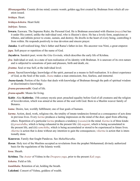<span id="page-58-19"></span>*Hiranyagarbha*. Cosmic divine mind; cosmic womb; golden egg first created by [Brahman](#page-56-8) from which all creation issued.

*hridaya*. Heart.

<span id="page-58-11"></span>*hridaya-kshetra*. Heart field.

<span id="page-58-15"></span>*indriyas*. Senses.

<span id="page-58-7"></span>**Iswara**. Easwara. The Supreme Ruler, the Personal God. He is [Brahman](#page-56-8) associated with illusion (*[maya](#page-59-13)*) but has it under His control, unlike the individual soul, who is illusion's slave. He has a lovely form, auspicious attributes, and infinite power to create, sustain, and destroy. He dwells in the heart of every being, controlling it from within. He responds positively to true devotion and sincere prayer.

<span id="page-58-21"></span>**Janaka**. A self-realized king; [Sita](#page-62-19)'s father and [Rama'](#page-61-12)s father-in-law. His ancestor was Nimi, a great emperor.

<span id="page-58-18"></span>*japa*. Soft prayer or repetition of the name of God.

<span id="page-58-2"></span>**Jayadeva**. Sanskrit poet; wrote the *Gita Govinda*, which describes the early life of [Krishna.](#page-58-0)

- <span id="page-58-1"></span>*jiva*. Individual or soul, in a state of non-realisation of its identity with [Brahman](#page-56-8). It is unaware of its own nature and is subjected to sensations of pain and pleasure, birth and death, etc.
- <span id="page-58-14"></span>*jivatma*. Soul or true Self, at the individual level.
- <span id="page-58-4"></span>*jnana*. Sacred knowledge; knowledge of the spirit, pursued as a means to Self-realisation. It is direct experience of God, as the Soul of the souls. *Jnana* makes a man omniscient, free, fearless, and immortal.
- <span id="page-58-22"></span>*Jnana-kanda*. Portion of the *[Vedas](#page-64-3)* that deals with knowledge of [Brahman](#page-56-8) through the path of spiritual wisdom or discriminative knowledge.

<span id="page-58-9"></span>*jivana-paramavadhi*. Goal of life.

<span id="page-58-8"></span>*jivana-upadhi*. Means for living.

<span id="page-58-3"></span>**Kabir**. Also **Kabirdas**. 15th century mystic poet; preached equality before God of all creatures and the religion of love/devotion, which was aimed at the union of the soul with God. Born to a Muslim weaver family of Benares.

<span id="page-58-13"></span>*kama*. Desire, lust, worldly fulfillment; one of four goals of humans.

<span id="page-58-5"></span>*karma*. Action, deed, work, religious rite, the totality of innate tendencies formed as a consequence of acts done in previous lives. Every *karma* produces a lasting impression on the mind of the doer, apart from affecting

others. Repetition of a particular *karma* produces a tendency (*vasana*) in the mind. *Karma* is of three kinds: (i) *praarabdha*, which is being exhausted in the present life: (ii) *aagami*, which is being accumulated in the present life, and (iii) *samchitha*, which is being accumulated or stored to be experienced in future lives. *Akarma* is action that is done without any intention to gain the consequences; *vikarma* is action that is intentionally done.

<span id="page-58-20"></span>**Kauravas**. Family that fought [Pandavas.](#page-60-25) See *[Mahabharatha](#page-59-12)*.

<span id="page-58-12"></span>*Koran*. Holy text of the Muslims accepted as revelations from the prophet Mohammed; divinely authorized basis for the regulations of the Islamic world.

<span id="page-58-16"></span>*kosa*. Sheath.

<span id="page-58-0"></span>**Krishna**. The *[Avatar](#page-56-10)* of [Vishnu](#page-64-7) in the *Dwapara yuga*, prior to the present *Kali yuga*.

<span id="page-58-10"></span>*kshetra*. Field or life.

<span id="page-58-17"></span>*kumbhaka*. Retention of air, holding the breath.

<span id="page-58-6"></span>**Lakshmi**. Consort of [Vishnu](#page-64-7), goddess of wealth.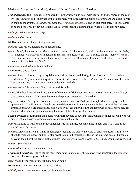<span id="page-59-11"></span>**Madhava**. God (name for [Krishna](#page-58-0)); Master of illusion (*[maya](#page-59-13)*), Lord of [Lakshmi](#page-58-6).

<span id="page-59-12"></span>*Mahabharatha*. The Hindu epic composed by Sage [Vyasa,](#page-64-9) which deals with the deeds and fortunes of the cousins (the [Kauravas](#page-58-20) and [Pandavas\)](#page-60-25) of the Lunar race, with Lord [Krishna](#page-58-0) playing a significant and decisive role in shaping the events. The *[Bhagavad Gita](#page-56-5)* and *Vishnu [Sahasranama](#page-61-20)* occur in this great epic. It is considered to be the Fifth *[Veda](#page-64-3)* by devout Hindus. Of this great epic, it is claimed that "what is not in it is nowhere.

<span id="page-59-10"></span>*maha-purusha*. Outstanding sage.

<span id="page-59-5"></span>*mahatma*. Great soul.

<span id="page-59-3"></span>**Mallamma**. Name of a great lady devotee.

<span id="page-59-19"></span>*manana*. Reflection, meditation, understanding.

<span id="page-59-18"></span>*manas*. Mind, the inner organ, which has four aspects: (i) mind (*manas*), which deliberates, desires, and feels; (ii) intellect (*[buddhi](#page-56-20)*), which understands, reasons, and decides; (iii) the 'I' sense, and (iv) memory (*[chitha](#page-57-10)*). The mind, with all its desires and their broods, conceals the Divinity within man. Purification of the mind is essential for realisation of the Self.

<span id="page-59-20"></span>*manasika-sambhashana*. Inner dialogue.

<span id="page-59-6"></span>**Manmatha**. God of love.

<span id="page-59-1"></span>*mantra*. A sacred formula, mystic syllable or word symbol uttered during the performance of the rituals or meditation. They represent the spiritual truths directly revealed to the *[rishis](#page-61-4)* (seers). The section of the *[Veda](#page-64-3)* that contains these hymns (*mantras*) is called the *[Samhitha](#page-62-1)*.

<span id="page-59-0"></span>*mantra-sastra*. The science of the *[Vedic](#page-64-2)* sacred formulae.

- <span id="page-59-16"></span>**Manu**. The first father of mankind; author of the codes of righteous conduct (*[Dharma Sastras](#page-57-17)*); son of [Surya](#page-63-8)  (the sun) and father of Vaivaswatha Manu, the present progenitor of mankind.
- <span id="page-59-13"></span>*maya*. Delusion. The mysterious, creative, and delusive power of [Brahman](#page-56-8) through which God projects the appearance of the Universe. *Maya* is the material cause and [Brahman](#page-56-8) is the efficient cause of the Universe. [Brahman](#page-56-8) and *maya* are inextricably associated with each other like fire and its power to heat. *Maya* deludes the individual souls in egoism, making them forget their true spiritual nature.
- <span id="page-59-2"></span>**Meera**. Princess of Rajasthan and queen of Chittor; devoted to [Krishna](#page-58-0); took poison from her husband without any effect; composed devotional songs of exceptional quality.
- <span id="page-59-14"></span>*mithya*. Mixture of truth and falsehood; neither true nor untrue, but something in between. The world is not untrue (*asat*) but *mithya*.
- <span id="page-59-7"></span>*moksha*. Liberation from all kinds of bondage, especially the one to the cycle of birth and death. It is a state of absolute freedom, peace, and bliss, attained through Self-realisation. This is the supreme goal of human endeavour, the other three being, righteousness (*[dharma](#page-57-6)*), wealth and power (*[artha](#page-55-16)*), and sense-pleasure (*[kama](#page-58-13)*).

<span id="page-59-8"></span>*mukthi*. See *[moksha](#page-59-7)*.

<span id="page-59-9"></span>*mumukshu*. One who desires liberation.

- <span id="page-59-15"></span>*Mundaka Upanishad*. One of the ten most important *[Upanishads](#page-63-1)*, of *[Artharva-veda](#page-55-4)*; it presents the *[Vedantic](#page-64-8)* doctrine of knowledge of [Brahman.](#page-56-8)
- <span id="page-59-17"></span>*nara*. Man; divine man; primeval man, human being.

<span id="page-59-4"></span>**Narayana**. The Primal Person, the Lord, [Vishnu](#page-64-7).

<span id="page-59-21"></span>*nidi-dhyasana*. Inner concentration, profound meditation.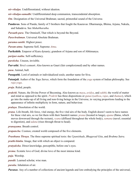<span id="page-60-15"></span>*nir-vikalpa*. Undifferentiated, without ideation.

<span id="page-60-14"></span>*nir-vikalpa-samadhi*. Undifferentiated deep communion, transcendental absorption.

<span id="page-60-26"></span>*Om*. Designation of the Universal [Brahman](#page-56-8); sacred, primordial sound of the Universe.

<span id="page-60-25"></span>**Pandavas**. Sons of Pandu; family of 5 brothers that fought the [Kauravas:](#page-58-20) Dharmaraja, Bhima, [Arjuna,](#page-55-2) Nakula, and Sahadeva. See *[Mahabharatha](#page-59-12)*.

<span id="page-60-19"></span>*Paraath-para*. The Omniself, That which is beyond the Beyond.

<span id="page-60-1"></span>*Para-brahman*. Universal Absolute [Brahman.](#page-56-8)

<span id="page-60-8"></span>*parama-santhi*. Highest peace.

<span id="page-60-7"></span>*Param-atma*. Supreme Self, Supreme *[Atma](#page-55-3)*.

<span id="page-60-16"></span>**Parikshith**. Emperor of Kuru dynasty; grandson of [Arjuna](#page-55-2) and son of [Abhimanyu.](#page-55-22)

<span id="page-60-18"></span>*paripur-natha*. Self-sufficiency.

<span id="page-60-3"></span>*paroksha*. Unseen, invisible.

<span id="page-60-4"></span>**Parvathi**. [Siva'](#page-62-6)s consort. Also known as Gauri (fair complexioned) and by other names.

<span id="page-60-5"></span>*pasu*. Animal, bull.

<span id="page-60-6"></span>**Pasupathi**. Lord of animals or individualized souls; another name for [Siva.](#page-62-6)

<span id="page-60-27"></span>**Patanjali**. Author of the *[Yoga Sutras](#page-64-10)*, which form the foundation of the *yoga* system of Indian philosophy. See *[raja-yoga](#page-61-21)*.

<span id="page-60-24"></span>*praja*. Ruled, people.

<span id="page-60-17"></span>*prakriti*. Nature, the Divine Power of Becoming. Also known as *[maya](#page-59-13)*, *avidya*, and *[sakthi](#page-61-10)*; the world of matter and mind as opposed to the spirit. *Prakriti* has three dispositions or *[gunas](#page-57-21)* (*[sathwa](#page-62-5)*, *[rajas](#page-61-9)*, and *thamas*), which go into the make-up of all living and non-living beings in the Universe, in varying proportions leading to the appearance of infinite multiplicity in form, nature, and behaviour.

<span id="page-60-12"></span>*pralaya*. Dissolution of the world.

<span id="page-60-20"></span>*prana*. Life-breath, life force, vital energy, the five vital airs of the body. English doesn't seem to have names for these vital airs, so we list them with their Sanskrit names: *prana* (located in lungs), *apana* (flatus, which moves downward through the rectum), *vyana* (diffused throughout the whole body), *samana* (navel; essential to digestion), and *udana* (rises through throat to head).

<span id="page-60-22"></span>*pranayama*. Breath control.

<span id="page-60-11"></span>*prapancha*. Cosmos; created world composed of the five elements.

<span id="page-60-0"></span>*Prasthana Thraya*. The three supreme spiritual texts: the *[Upanishads](#page-63-1)*, *[Bhagavad Gita](#page-56-5)*, and *[Brahma Sutra](#page-56-4)*.

<span id="page-60-13"></span>*prathi-bimba*. Image, that with which an object is compared.

<span id="page-60-2"></span>*pratyaksha*. Direct knowledge, perceptible, before one's eyes.

<span id="page-60-10"></span>*prema*. Ecstatic love of God; divine love of the most intense kind.

<span id="page-60-9"></span>*puja*. Worship.

*pundit*. Learned scholar, wise man.

<span id="page-60-23"></span>*puraka*. Inhalation of air.

<span id="page-60-21"></span>*Puranas*. Any of a number of collections of ancient legends and lore embodying the principles of the universal,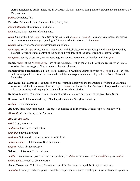eternal religion and ethics. There are 18 *Puranas*, the most famous being the *Mahabhagavatham* and the *Devi Bhagavatham*.

<span id="page-61-3"></span>*purna*. Complete, full.

<span id="page-61-11"></span>**Purusha**. Primeval Person, Supreme Spirit, Lord, God.

<span id="page-61-5"></span>*Purushothama*. The supreme Lord of all.

<span id="page-61-19"></span>*raja*. Ruler, king, member of ruling class.

<span id="page-61-9"></span>*rajas*. One of the three *[gunas](#page-57-21)* (qualities or dispositions) of *[maya](#page-59-13)* or *[prakriti](#page-60-17)*. Passion, restlessness, aggressiveness, emotions such as anger, greed, grief. Associated with colour red. See *[guna](#page-57-21)*.

<span id="page-61-15"></span>*rajasic*. Adjective form of *[rajas](#page-61-9)*, passionate, emotional.

<span id="page-61-21"></span>*raja-yoga*. Royal *yoga* of meditation, detachment, and desirelessness. Eight-fold path of *yoga* developed by [Patanjali,](#page-60-27) which includes control of the mind and withdrawal of the senses from the external world.

*rajoguna*. Quality of passion, restlessness, aggressiveness. Associated with colour red. See *[guna](#page-57-21).*

<span id="page-61-12"></span>**Rama**. *[Avatar](#page-56-10)* of the *Thretha yuga*. Hero of the *[Ramayana](#page-61-22)*; killed the wicked [Ravana](#page-61-23) to rescue his wife [Sita](#page-62-19), who had been kidnapped. "Rama" means "he who pleases".

<span id="page-61-6"></span>**Ramakrishna Paramahamsa**. (1836–1886) Celebrated mystic; mastered all types of *yoga* and also Christian and Islamic practices. Swami [Vivekananda](#page-64-11) took his message of universal religion to the West. Married to [Saradadevi](#page-62-2).

<span id="page-61-22"></span>*Ramayana*. This sacred epic, composed by Sage [Valmiki,](#page-64-12) deals with the incarnation of [Vishnu](#page-64-7) as Sri [Rama](#page-61-12), who strove all his life to reestablish the reign of *[dharma](#page-57-6)* in the world. The *Ramayana* has played an important role in influencing and shaping the Hindu ethos over the centuries.

<span id="page-61-7"></span>**Ramdas**. Maratha 17th century saint; author of work on religious duty; guru of the great King Sivaji.

<span id="page-61-23"></span>**Ravana**. Lord of demons and king of Lanka, who abducted [Sita](#page-62-19) [\(Rama](#page-61-12)'s wife).

<span id="page-61-17"></span>*rechaka*. Exhalation of air.

<span id="page-61-1"></span>*Rig-veda*. First *[Veda](#page-64-3)* composed by the sages, consisting of 1028 hymns. Oldest religious text in world.

*Rig-vedic*. Of or relating to the *[Rig-veda](#page-61-1)*.

<span id="page-61-0"></span>*Rik*. See *Rig-veda*.

<span id="page-61-4"></span>*rishi*. Sage, wise man.

<span id="page-61-18"></span>*sadbhava*. Goodness, good nature.

*sadhaka*. Spiritual aspirant.

<span id="page-61-13"></span>*sadhana*. Spiritual discipline or exercise; self effort.

<span id="page-61-20"></span>*sahasra-nama*. 1000 names of [Siva](#page-62-6) or [Vishnu](#page-64-7)..

<span id="page-61-16"></span>*sajjana*. Wise, virtuous people.

<span id="page-61-8"></span>**Sakkubai**. A famous Krishna devotee.

<span id="page-61-10"></span>*sakthi*. Great universal power, divine energy, strength. *Maha* means *Great*, so *Mahasakthi* is great *sakthi*.

<span id="page-61-14"></span>*sakthi-path*. Descent of divine energy.

<span id="page-61-2"></span>*Sama*, *Sama-veda*. Collection of certain verses of the *[Rig-veda](#page-61-1)* arranged for liturgical purposes.

*samadhi*. Literally, total absorption. The state of super consciousness resulting in union with or absorption in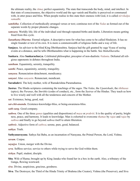the ultimate reality, the *[Atma](#page-55-3)*; perfect equanimity. The state that transcends the body, mind, and intellect. In that state of consciousness, the objective world and the ego vanish and Reality is perceived or communed with, in utter peace and bliss. When people realise in this state their oneness with God, it is called *nirvikalpa samadhi*.

- <span id="page-62-1"></span>*samhitha*. Collection of methodically arranged verses or text; continous text of the *[Vedas](#page-64-3)* as formed out of the separate words by proper phonetic changes.
- <span id="page-62-12"></span>*samsara*. Worldly life; life of the individual soul through repeated births and deaths. Liberation means getting freed from this cycle.
- <span id="page-62-8"></span>*Sanathana Dharma*. Eternal religion. A descriptive term for what has come to be called Hinduism. It has no single founder or text of its own. It is more a commonwealth of religious faiths and a way of life.
- <span id="page-62-11"></span>**Sanjaya**. An advisor to the blind King [Dhritharashtra.](#page-57-11) Sanjaya had the gift granted by sage [Vyasa](#page-64-9) of seeing events at a distance, and he tells [Dhritharashtra](#page-57-11) what is happening in the battle. See *[Mahabharatha](#page-59-12)*.
- <span id="page-62-4"></span>**Sankara**. Also **Sankaracharya**. Celebrated philosopher, preceptor of non-dualistic *[Vedanta](#page-64-1)*. Defeated all religious opponents in debates throughout India.

*santham*. Equanimity, serenity, tranquility.

- <span id="page-62-9"></span>*santhi*. Peace, equanimity, serenity, tranquility.
- <span id="page-62-13"></span>*sanyasa*. Renunciation-detachment, mendicancy.
- <span id="page-62-14"></span>*sanyasi*. Also *sanyasin*. Renunciant, mendicant.
- <span id="page-62-2"></span>**Saradadevi**. The holy mother, wife of [Ramakrishna Paramahamsa.](#page-61-6)
- <span id="page-62-15"></span>*Sastras*. The Hindu scriptures containing the teachings of the sages. The *[Vedas](#page-64-3)*, the *[Upanishads](#page-63-1)*, the *ithihasas* (epics), the *[Puranas](#page-60-21)*, the *Smrithis* (codes of conduct), etc., form the *Sastras* of the Hindus. They teach us how to live wisely and well with all the tenderness and concern of the Mother.
- <span id="page-62-18"></span>*sat*. Existence, being, good, real.
- *sat-chit-ananda*. Existence-knowledge-bliss, or being-awareness-bliss.
- <span id="page-62-17"></span>*sath-sang*. Good company.
- <span id="page-62-5"></span>*sathwa*. One of the three *[gunas](#page-57-21)* (qualities and dispositions) of *[maya](#page-59-13)* or *prakriti*. It is the quality of purity, brightness, peace, and harmony. It leads to knowledge. Man is exhorted to overcome *thamas* by *[rajas](#page-61-9)* and *rajas* by *sathwa* and finally to go beyond *sathwa* itself to attain liberation.
- <span id="page-62-10"></span>*sathwic*. Adjective form of *sathwa*; serene, pure, good, balanced.

<span id="page-62-0"></span>*sathya*. Truth.

<span id="page-62-3"></span>**Sathyanarayana**. Sathya Sai Baba, as an incarnation of [Narayana,](#page-59-4) the Primal Person, the Lord, [Vishnu.](#page-64-7)

<span id="page-62-16"></span>*savam*. Corpse.

- <span id="page-62-7"></span>*sayujya*. Union, merger with the Divine.
- *seva*. Selfless service; service to others while trying to serve the God within them.
- *sishya*. Pupil, student, disciple.
- <span id="page-62-19"></span>**Sita**. Wife of [Rama](#page-61-12); brought up by King [Janaka](#page-58-21) who found her in a box in the earth. Also, a tributary of the Ganga, flowing westward.
- *siva*. Divine, auspicious, gracious, goodness.
- <span id="page-62-6"></span>**Siva**. The Destroyer, the Third of the Hindu Trinity of [Brahma](#page-56-21) (the Creator), [Vishnu](#page-64-7) (the Preserver), and Siva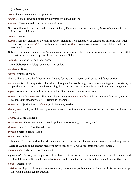(the Destroyer).

- *sivam*. Grace, auspiciousness, goodness.
- *smrithi*. Code of law; traditional law delivered by human authors.
- *sravana*. Listening to discourses on the scriptures.
- <span id="page-63-4"></span>**Sravana**. Son of hermits; was killed accidentally by [Dasaratha,](#page-57-22) who was cursed by Sravana's parents to die from loss of children.

*srishti*. Creation.

- *sruthi*. Sacred revelations orally transmitted by [brahmins](#page-56-9) from generation to generation, differing from traditional law codes (*smrithi*). Divinely sourced scripture; *[Veda](#page-64-0)*; divine words known by revelation; that which was heard or listened to
- <span id="page-63-5"></span>**Suka**. Divine son of author of the *[Mahabharatha](#page-59-12)*, [Vyasa](#page-64-9). Visited King [Janaka](#page-58-21), who instructed him in the path to liberation. Also, a messenger of [Ravana](#page-61-23) was named Suka.
- *sumathi*. Person with good intelligence.
- <span id="page-63-7"></span>*Sumathi Sathaka*. A Telugu poetic work on ethics.

*sundaram*. Beauty.

*sunya*. Emptiness; void.

<span id="page-63-8"></span>**Surya**. The sun god, the father of time. A name for the sun. Also, son of Kasyapa and father of [Manu.](#page-59-16)

- *sutra*. Concise rule or aphorism; that which, through a few words only, reveals vast meanings; text consisting of aphorisms or maxims; a thread; something, like a thread, that runs through and holds everything together.
- *tapas*. Concentrated spiritual exercises to attain God, penance, severe austerities.
- *thamas*. One of the *[gunas](#page-57-21)* (qualities and dispositions) of *[maya](#page-59-13)* or *[prakriti](#page-60-17)*. It is the quality of dullness, inertia, darkness and tendency to evil. It results in ignorance.
- *thamasic*. Adjective form of *thamas*, dull, ignorant, passive.
- *thamoguna*. Quality of dullness, ignorance, delusion, inactivity, inertia, sloth. Associated with colour black. See *[guna](#page-57-21)*.

<span id="page-63-6"></span>*Thath*. That, the Godhead.

*thri-karanas*. Three instruments: thought (mind), word (mouth), and deed (hand).

*thwam*. Thou, You, This, the individual.

*thyaga*. Sacrifice, renunciation.

*thyagi*. Renunciant.

<span id="page-63-2"></span>**Tukaram**. Well-known Maratha 17th century writer. He abandoned the world and became a wandering ascetic.

<span id="page-63-3"></span>**Tulsidas**. Author of the greatest medieval devotional poetical work concerning the acts of [Rama](#page-61-12).

<span id="page-63-0"></span>*Upanishadic*. Relating to the *[Upanishads](#page-63-1)*.

<span id="page-63-1"></span>*Upanishads*. The very sacred portions of the *[Vedas](#page-64-3)* that deal with God, humanity, and universe, their nature and interrelationships. Spiritual knowledge (*[jnana](#page-58-4)*) is their content, so they form the *[Jnana-kanda](#page-58-22)* of the *[Vedas](#page-64-3)*.

*vahini*. Stream, flow.

*Vaishnavite*. A person belonging to *Vaishnavism*, one of the major branches of Hinduism. It focuses on worhiping [Vishnu](#page-64-7) and his ten incarnations.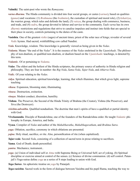<span id="page-64-12"></span>**Valmiki**. The saint-poet who wrote the *[Ramayana](#page-61-22)*.

- *varna dharma*. The Hindu community is divided into four social groups, or [castes](#page-56-17) (*varnas*), based on qualities (*[gunas](#page-57-21)*) and vocations: (1) *Brahmana* (the *[brahmin](#page-56-9)s*), the custodian of spiritual and moral role), (2) *kshatriya*, the warrior group, which rules and defends the land), (3) *vaisya*, the group dealing with commerce, business, and trade, and (4) *sudra*, the group devoted to labour and service to the community. Each *varna* has its own *[dharmic](#page-57-20)* restrictions and regulations that strive to canalise impulses and instinct into fields that are special to their place in society, controls pertaining to the duties of the caste.
- <span id="page-64-6"></span>**Vasishta**. One of the greatest *[rishis](#page-61-4)* (sages) of ancient times; priest of the solar race of kings; revealer of several *[Vedic](#page-64-2)* hymns. Had sacred, wishfulfilling cow called Nandini.
- <span id="page-64-0"></span>*Veda*. Knowledge, wisdom. This knowledge is generally viewed as being given in the *Vedas*.
- <span id="page-64-1"></span>*Vedanta*. Means "the end of the *Vedas*". It is the essence of the *Vedas* enshrined in the *[Upanishads](#page-63-1)*. The philosophy of non-dualism, or qualified non-dualism, or dualism based on the *[Upanishadic](#page-63-1)* teachings, is denoted by this term.
- <span id="page-64-8"></span>*Vedantic*. Of or pertaining to *[Vedanta](#page-64-1)*.
- <span id="page-64-3"></span>*Vedas*. The oldest and the holiest of the Hindu scriptures, the primary source of authority in Hindu religion and philosophy. They are four in number: the *[Rig-Veda](#page-61-1)*, *Sama-Veda*, *Yajur-Veda*, and *Atharva-Veda*.
- <span id="page-64-2"></span>*Vedic*. Of your relating to the *Vedas*.
- *vidya*. Spiritual education, spiritual knowledge, learning, that which illumines, that which gives light, supreme teaching.
- *vikasa*. Expansion, blooming state; illuminating.
- *vinasa*. Destruction, extinction.
- *vinaya*. Modest conduct, discretion, humility.
- <span id="page-64-7"></span>**Vishnu**. The Preserver, the Second of the Hindu Trinity of [Brahma](#page-56-21) (the Creator), Vishnu (the Preserver), and [Siva](#page-62-6) (the Destroyer).
- *visishta-adwaitha*. Qualified nondualism. The doctrine that men's spirits of have a qualified or partial identity with God.
- <span id="page-64-11"></span>**Vivekananda**. Disciple of [Ramakrishna;](#page-61-6) one of the founders of the [Ramakrishna](#page-61-6) order. He taught *[Vedantic](#page-64-1)* philosophy in Europe, America, and India.
- <span id="page-64-9"></span>**Vyasa**. Compiler of *[Vedas](#page-64-3)* and author of the *[Mahabharatha](#page-59-12)*, *Mahabhagavatham*, and *[Brahma Sutra](#page-56-4)*.
- *yaga*. Oblation, sacrifice, ceremony in which oblations are presented.
- *yajna*. Holy ritual, sacrifice, or rite. Also, personification of rite (when capitalized).
- <span id="page-64-4"></span>*Yajur-veda*. Second *[Veda](#page-64-3)*, consisting of a collection of sacred texts in prose relating to sacrifices.
- **Yama**. God of Death; death personified.
- *yantra*. Mechanics; instrument..
- *yoga*. (a) Union of individual self or *[Atma](#page-55-3)* with Supreme Being or Universal Self; act of yoking. (b) Spiritual discipline or exercise aimed at control of the senses. (c) Science of divine communion. (d) self control. [Patan](#page-60-27)[jali's](#page-60-27) Yoga-sutras define *yoga* as a series of 8 steps leading to union with God.
- <span id="page-64-10"></span>*Yoga Sutras*. An aphoristic treatise on *yoga* by [Patanjali](#page-60-27).
- <span id="page-64-5"></span>*Yoga-vasishta*. Sacred work in the form of dialogue between [Vasishta](#page-64-6) and his pupil [Rama,](#page-61-12) teaching the way to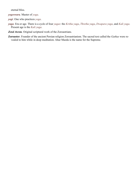eternal bliss.

*yogeswara*. Master of *yoga*.

*yogi*. One who practices *yoga*.

*yuga*. Era or age. There is a cycle of four *yugas*: the *Kritha yuga*, *Thretha yuga*, *Dwapara yuga*, and *Kali yuga*. Present age is the *Kali yuga*.

<span id="page-65-0"></span>*Zend Avesta*. Original scriptural work of the Zoroastrians.

**Zoroaster**. Founder of the ancient Persian religion Zoroastrianism. The sacred text called the *Gathas* were revealed to him while in deep meditation. Ahur Mazda is the name for the Supreme.